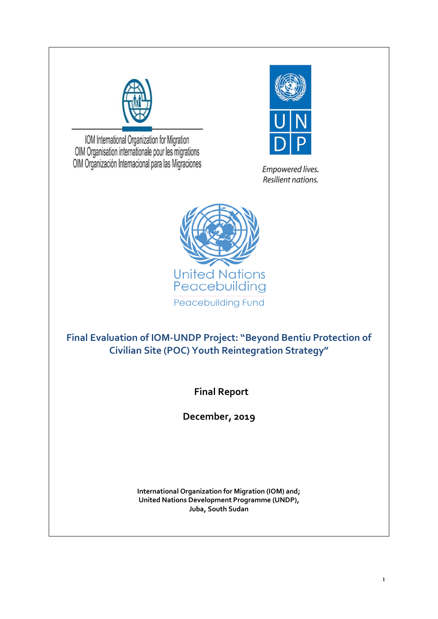

IOM International Organization for Migration OIM Organisation internationale pour les migrations OIM Organización Internacional para las Migraciones



Empowered lives. Resilient nations.



**Final Evaluation of IOM-UNDP Project: "Beyond Bentiu Protection of Civilian Site (POC) Youth Reintegration Strategy"**

 **Final Report**

**December, 2019**

**International Organization for Migration (IOM) and; United Nations Development Programme (UNDP), Juba, South Sudan**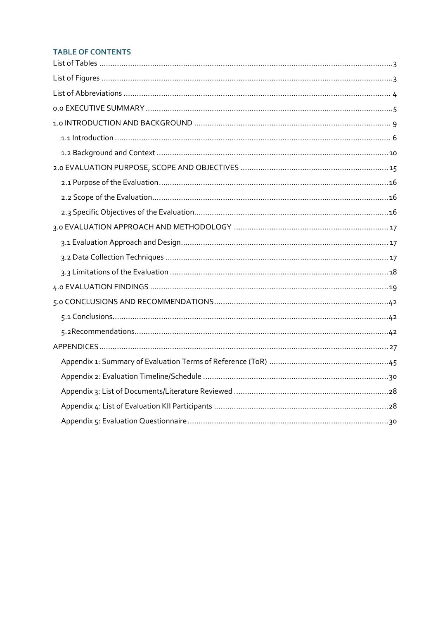## **TABLE OF CONTENTS**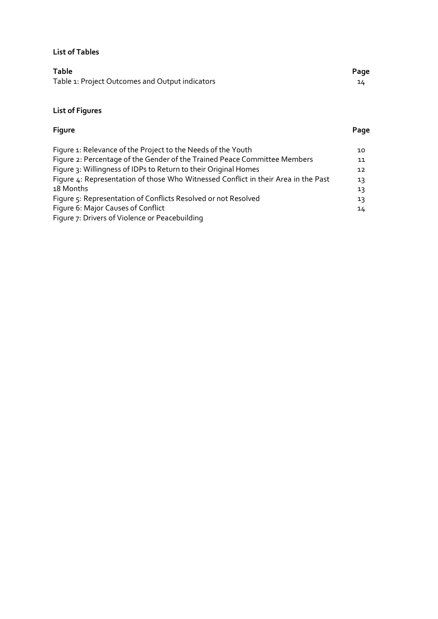## <span id="page-2-0"></span>**List of Tables**

| <b>Table</b>                                    | Page |
|-------------------------------------------------|------|
| Table 1: Project Outcomes and Output indicators | 14   |

# <span id="page-2-1"></span>**List of Figures**

# **Figure Page** Figure 1: Relevance of the Project to the Needs of the Youth Figure 2: Percentage of the Gender of the Trained Peace Committee Members

| Figure 2: Percentage of the Gender of the Trained Peace Committee Members          | 11              |
|------------------------------------------------------------------------------------|-----------------|
| Figure 3: Willingness of IDPs to Return to their Original Homes                    | 12 <sup>7</sup> |
| Figure 4: Representation of those Who Witnessed Conflict in their Area in the Past | 13              |
| 18 Months                                                                          | 13              |
| Figure 5: Representation of Conflicts Resolved or not Resolved                     | 13              |
| Figure 6: Major Causes of Conflict                                                 | $14^{\circ}$    |
| Figure 7: Drivers of Violence or Peacebuilding                                     |                 |

10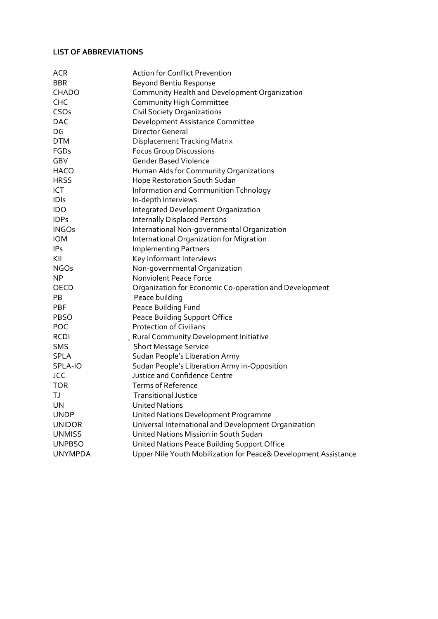### <span id="page-3-0"></span>**LIST OF ABBREVIATIONS**

| <b>ACR</b>     | <b>Action for Conflict Prevention</b>                           |
|----------------|-----------------------------------------------------------------|
| <b>BBR</b>     | Beyond Bentiu Response                                          |
| CHADO          | Community Health and Development Organization                   |
| <b>CHC</b>     | Community High Committee                                        |
| CSOs           | Civil Society Organizations                                     |
| <b>DAC</b>     | Development Assistance Committee                                |
| DG             | <b>Director General</b>                                         |
| <b>DTM</b>     | <b>Displacement Tracking Matrix</b>                             |
| FGDs           | <b>Focus Group Discussions</b>                                  |
| GBV            | <b>Gender Based Violence</b>                                    |
| <b>HACO</b>    | Human Aids for Community Organizations                          |
| <b>HRSS</b>    | Hope Restoration South Sudan                                    |
| ICT            | Information and Communition Tchnology                           |
| <b>IDIs</b>    | In-depth Interviews                                             |
| <b>IDO</b>     | Integrated Development Organization                             |
| <b>IDPs</b>    | <b>Internally Displaced Persons</b>                             |
| <b>INGOs</b>   | International Non-governmental Organization                     |
| <b>IOM</b>     | International Organization for Migration                        |
| <b>IPs</b>     | <b>Implementing Partners</b>                                    |
| KII            | Key Informant Interviews                                        |
| <b>NGOs</b>    | Non-governmental Organization                                   |
| <b>NP</b>      | <b>Nonviolent Peace Force</b>                                   |
| OECD           | Organization for Economic Co-operation and Development          |
| PB             | Peace building                                                  |
| <b>PBF</b>     | Peace Building Fund                                             |
| <b>PBSO</b>    | Peace Building Support Office                                   |
| POC            | <b>Protection of Civilians</b>                                  |
| <b>RCDI</b>    | Rural Community Development Initiative                          |
| <b>SMS</b>     | <b>Short Message Service</b>                                    |
| <b>SPLA</b>    | Sudan People's Liberation Army                                  |
| SPLA-IO        | Sudan People's Liberation Army in-Opposition                    |
| <b>JCC</b>     | Justice and Confidence Centre                                   |
| <b>TOR</b>     | Terms of Reference                                              |
| ТJ             | <b>Transitional Justice</b>                                     |
| UN             | <b>United Nations</b>                                           |
| <b>UNDP</b>    | United Nations Development Programme                            |
| <b>UNIDOR</b>  | Universal International and Development Organization            |
| <b>UNMISS</b>  | United Nations Mission in South Sudan                           |
| <b>UNPBSO</b>  | United Nations Peace Building Support Office                    |
| <b>UNYMPDA</b> | Upper Nile Youth Mobilization for Peace& Development Assistance |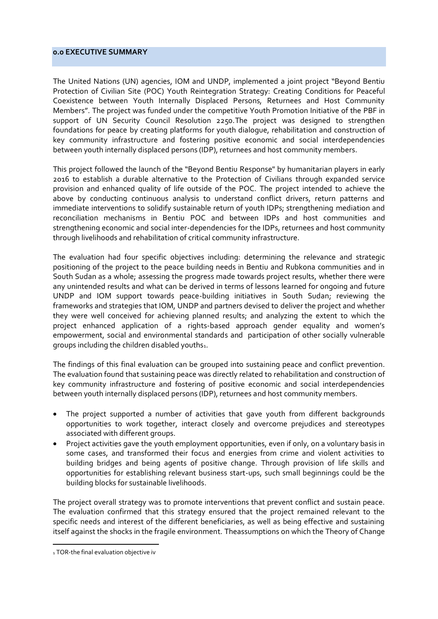### <span id="page-4-0"></span>**0.0 EXECUTIVE SUMMARY**

The United Nations (UN) agencies, IOM and UNDP, implemented a joint project "Beyond Bentiu Protection of Civilian Site (POC) Youth Reintegration Strategy: Creating Conditions for Peaceful Coexistence between Youth Internally Displaced Persons, Returnees and Host Community Members". The project was funded under the competitive Youth Promotion Initiative of the PBF in support of UN Security Council Resolution 2250.The project was designed to strengthen foundations for peace by creating platforms for youth dialogue, rehabilitation and construction of key community infrastructure and fostering positive economic and social interdependencies between youth internally displaced persons (IDP), returnees and host community members.

This project followed the launch of the "Beyond Bentiu Response" by humanitarian players in early 2016 to establish a durable alternative to the Protection of Civilians through expanded service provision and enhanced quality of life outside of the POC. The project intended to achieve the above by conducting continuous analysis to understand conflict drivers, return patterns and immediate interventions to solidify sustainable return of youth IDPs; strengthening mediation and reconciliation mechanisms in Bentiu POC and between IDPs and host communities and strengthening economic and social inter-dependencies for the IDPs, returnees and host community through livelihoods and rehabilitation of critical community infrastructure.

The evaluation had four specific objectives including: determining the relevance and strategic positioning of the project to the peace building needs in Bentiu and Rubkona communities and in South Sudan as a whole; assessing the progress made towards project results, whether there were any unintended results and what can be derived in terms of lessons learned for ongoing and future UNDP and IOM support towards peace-building initiatives in South Sudan; reviewing the frameworks and strategies that IOM, UNDP and partners devised to deliver the project and whether they were well conceived for achieving planned results; and analyzing the extent to which the project enhanced application of a rights-based approach gender equality and women's empowerment, social and environmental standards and participation of other socially vulnerable groups including the children disabled youths1.

The findings of this final evaluation can be grouped into sustaining peace and conflict prevention. The evaluation found that sustaining peace was directly related to rehabilitation and construction of key community infrastructure and fostering of positive economic and social interdependencies between youth internally displaced persons (IDP), returnees and host community members.

- The project supported a number of activities that gave youth from different backgrounds opportunities to work together, interact closely and overcome prejudices and stereotypes associated with different groups.
- Project activities gave the youth employment opportunities, even if only, on a voluntary basis in some cases, and transformed their focus and energies from crime and violent activities to building bridges and being agents of positive change. Through provision of life skills and opportunities for establishing relevant business start-ups, such small beginnings could be the building blocks for sustainable livelihoods.

The project overall strategy was to promote interventions that prevent conflict and sustain peace. The evaluation confirmed that this strategy ensured that the project remained relevant to the specific needs and interest of the different beneficiaries, as well as being effective and sustaining itself against the shocks in the fragile environment. Theassumptions on which the Theory of Change

<sup>1</sup> TOR-the final evaluation objective iv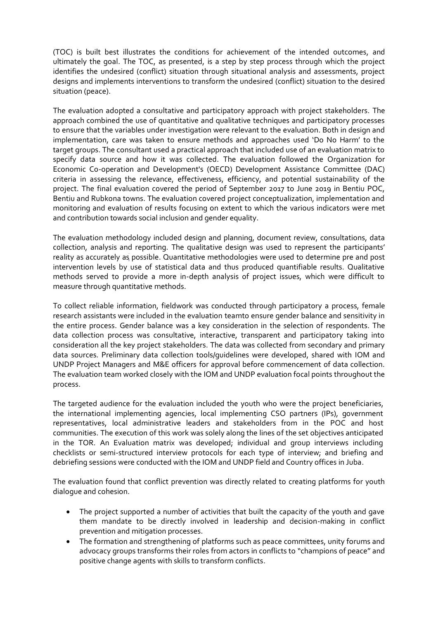(TOC) is built best illustrates the conditions for achievement of the intended outcomes, and ultimately the goal. The TOC, as presented, is a step by step process through which the project identifies the undesired (conflict) situation through situational analysis and assessments, project designs and implements interventions to transform the undesired (conflict) situation to the desired situation (peace).

The evaluation adopted a consultative and participatory approach with project stakeholders. The approach combined the use of quantitative and qualitative techniques and participatory processes to ensure that the variables under investigation were relevant to the evaluation. Both in design and implementation, care was taken to ensure methods and approaches used 'Do No Harm' to the target groups. The consultant used a practical approach that included use of an evaluation matrix to specify data source and how it was collected. The evaluation followed the Organization for Economic Co-operation and Development's (OECD) Development Assistance Committee (DAC) criteria in assessing the relevance, effectiveness, efficiency, and potential sustainability of the project. The final evaluation covered the period of September 2017 to June 2019 in Bentiu POC, Bentiu and Rubkona towns. The evaluation covered project conceptualization, implementation and monitoring and evaluation of results focusing on extent to which the various indicators were met and contribution towards social inclusion and gender equality.

The evaluation methodology included design and planning, document review, consultations, data collection, analysis and reporting. The qualitative design was used to represent the participants' reality as accurately as possible. Quantitative methodologies were used to determine pre and post intervention levels by use of statistical data and thus produced quantifiable results. Qualitative methods served to provide a more in-depth analysis of project issues, which were difficult to measure through quantitative methods.

To collect reliable information, fieldwork was conducted through participatory a process, female research assistants were included in the evaluation teamto ensure gender balance and sensitivity in the entire process. Gender balance was a key consideration in the selection of respondents. The data collection process was consultative, interactive, transparent and participatory taking into consideration all the key project stakeholders. The data was collected from secondary and primary data sources. Preliminary data collection tools/guidelines were developed, shared with IOM and UNDP Project Managers and M&E officers for approval before commencement of data collection. The evaluation team worked closely with the IOM and UNDP evaluation focal points throughout the process.

The targeted audience for the evaluation included the youth who were the project beneficiaries, the international implementing agencies, local implementing CSO partners (IPs), government representatives, local administrative leaders and stakeholders from in the POC and host communities. The execution of this work was solely along the lines of the set objectives anticipated in the TOR. An Evaluation matrix was developed; individual and group interviews including checklists or semi-structured interview protocols for each type of interview; and briefing and debriefing sessions were conducted with the IOM and UNDP field and Country offices in Juba.

The evaluation found that conflict prevention was directly related to creating platforms for youth dialogue and cohesion.

- The project supported a number of activities that built the capacity of the youth and gave them mandate to be directly involved in leadership and decision-making in conflict prevention and mitigation processes.
- The formation and strengthening of platforms such as peace committees, unity forums and advocacy groups transforms their roles from actors in conflicts to "champions of peace" and positive change agents with skills to transform conflicts.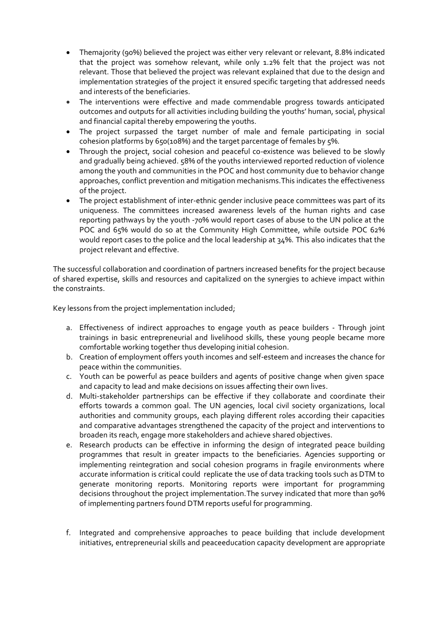- Themajority (90%) believed the project was either very relevant or relevant, 8.8% indicated that the project was somehow relevant, while only 1.2% felt that the project was not relevant. Those that believed the project was relevant explained that due to the design and implementation strategies of the project it ensured specific targeting that addressed needs and interests of the beneficiaries.
- The interventions were effective and made commendable progress towards anticipated outcomes and outputs for all activities including building the youths' human, social, physical and financial capital thereby empowering the youths.
- The project surpassed the target number of male and female participating in social cohesion platforms by 650(108%) and the target parcentage of females by 5%.
- Through the project, social cohesion and peaceful co-existence was believed to be slowly and gradually being achieved. 58% of the youths interviewed reported reduction of violence among the youth and communities in the POC and host community due to behavior change approaches, conflict prevention and mitigation mechanisms.This indicates the effectiveness of the project.
- The project establishment of inter-ethnic gender inclusive peace committees was part of its uniqueness. The committees increased awareness levels of the human rights and case reporting pathways by the youth -70% would report cases of abuse to the UN police at the POC and 65% would do so at the Community High Committee, while outside POC 62% would report cases to the police and the local leadership at 34%. This also indicates that the project relevant and effective.

The successful collaboration and coordination of partners increased benefits for the project because of shared expertise, skills and resources and capitalized on the synergies to achieve impact within the constraints.

Key lessons from the project implementation included;

- a. Effectiveness of indirect approaches to engage youth as peace builders Through joint trainings in basic entrepreneurial and livelihood skills, these young people became more comfortable working together thus developing initial cohesion.
- b. Creation of employment offers youth incomes and self-esteem and increases the chance for peace within the communities.
- c. Youth can be powerful as peace builders and agents of positive change when given space and capacity to lead and make decisions on issues affecting their own lives.
- d. Multi-stakeholder partnerships can be effective if they collaborate and coordinate their efforts towards a common goal. The UN agencies, local civil society organizations, local authorities and community groups, each playing different roles according their capacities and comparative advantages strengthened the capacity of the project and interventions to broaden its reach, engage more stakeholders and achieve shared objectives.
- e. Research products can be effective in informing the design of integrated peace building programmes that result in greater impacts to the beneficiaries. Agencies supporting or implementing reintegration and social cohesion programs in fragile environments where accurate information is critical could replicate the use of data tracking tools such as DTM to generate monitoring reports. Monitoring reports were important for programming decisions throughout the project implementation.The survey indicated that more than 90% of implementing partners found DTM reports useful for programming.
- f. Integrated and comprehensive approaches to peace building that include development initiatives, entrepreneurial skills and peaceeducation capacity development are appropriate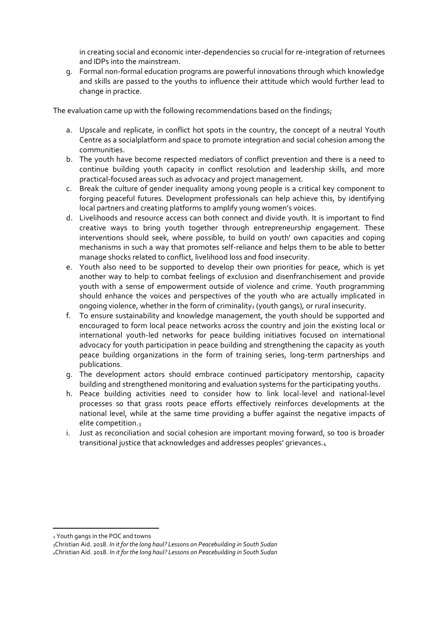in creating social and economic inter-dependencies so crucial for re-integration of returnees and IDPs into the mainstream.

g. Formal non-formal education programs are powerful innovations through which knowledge and skills are passed to the youths to influence their attitude which would further lead to change in practice.

The evaluation came up with the following recommendations based on the findings;

- a. Upscale and replicate, in conflict hot spots in the country, the concept of a neutral Youth Centre as a socialplatform and space to promote integration and social cohesion among the communities.
- b. The youth have become respected mediators of conflict prevention and there is a need to continue building youth capacity in conflict resolution and leadership skills, and more practical-focused areas such as advocacy and project management.
- c. Break the culture of gender inequality among young people is a critical key component to forging peaceful futures. Development professionals can help achieve this, by identifying local partners and creating platforms to amplify young women's voices.
- d. Livelihoods and resource access can both connect and divide youth. It is important to find creative ways to bring youth together through entrepreneurship engagement. These interventions should seek, where possible, to build on youth' own capacities and coping mechanisms in such a way that promotes self-reliance and helps them to be able to better manage shocks related to conflict, livelihood loss and food insecurity.
- e. Youth also need to be supported to develop their own priorities for peace, which is yet another way to help to combat feelings of exclusion and disenfranchisement and provide youth with a sense of empowerment outside of violence and crime. Youth programming should enhance the voices and perspectives of the youth who are actually implicated in ongoing violence, whether in the form of criminality<sub>2</sub> (youth gangs), or rural insecurity.
- f. To ensure sustainability and knowledge management, the youth should be supported and encouraged to form local peace networks across the country and join the existing local or international youth-led networks for peace building initiatives focused on international advocacy for youth participation in peace building and strengthening the capacity as youth peace building organizations in the form of training series, long-term partnerships and publications.
- g. The development actors should embrace continued participatory mentorship, capacity building and strengthened monitoring and evaluation systems for the participating youths.
- h. Peace building activities need to consider how to link local-level and national-level processes so that grass roots peace efforts effectively reinforces developments at the national level, while at the same time providing a buffer against the negative impacts of elite competition.<sup>3</sup>
- i. Just as reconciliation and social cohesion are important moving forward, so too is broader transitional justice that acknowledges and addresses peoples' grievances.<sup>4</sup>

<sup>2</sup> Youth gangs in the POC and towns

<sup>3</sup>Christian Aid. 2018. *In it for the long haul? Lessons on Peacebuilding in South Sudan*

<sup>4</sup>Christian Aid. 2018. *In it for the long haul? Lessons on Peacebuilding in South Sudan*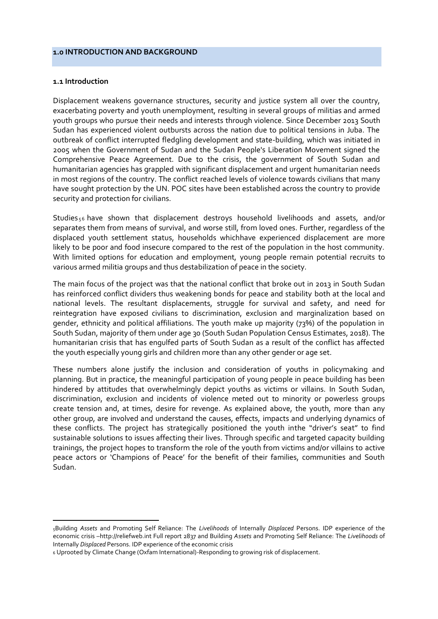### <span id="page-8-0"></span>**1.0 INTRODUCTION AND BACKGROUND**

### **1.1 Introduction**

Displacement weakens governance structures, security and justice system all over the country, exacerbating poverty and youth unemployment, resulting in several groups of militias and armed youth groups who pursue their needs and interests through violence. Since December 2013 South Sudan has experienced violent outbursts across the nation due to political tensions in Juba. The outbreak of conflict interrupted fledgling development and state-building, which was initiated in 2005 when the Government of Sudan and the Sudan People's Liberation Movement signed the Comprehensive Peace Agreement. Due to the crisis, the government of South Sudan and humanitarian agencies has grappled with significant displacement and urgent humanitarian needs in most regions of the country. The conflict reached levels of violence towards civilians that many have sought protection by the UN. POC sites have been established across the country to provide security and protection for civilians.

Studies <sup>56</sup> have shown that displacement destroys household livelihoods and assets, and/or separates them from means of survival, and worse still, from loved ones. Further, regardless of the displaced youth settlement status, households whichhave experienced displacement are more likely to be poor and food insecure compared to the rest of the population in the host community. With limited options for education and employment, young people remain potential recruits to various armed militia groups and thus destabilization of peace in the society.

The main focus of the project was that the national conflict that broke out in 2013 in South Sudan has reinforced conflict dividers thus weakening bonds for peace and stability both at the local and national levels. The resultant displacements, struggle for survival and safety, and need for reintegration have exposed civilians to discrimination, exclusion and marginalization based on gender, ethnicity and political affiliations. The youth make up majority (73%) of the population in South Sudan, majority of them under age 30 (South Sudan Population Census Estimates, 2018). The humanitarian crisis that has engulfed parts of South Sudan as a result of the conflict has affected the youth especially young girls and children more than any other gender or age set.

These numbers alone justify the inclusion and consideration of youths in policymaking and planning. But in practice, the meaningful participation of young people in peace building has been hindered by attitudes that overwhelmingly depict youths as victims or villains. In South Sudan, discrimination, exclusion and incidents of violence meted out to minority or powerless groups create tension and, at times, desire for revenge. As explained above, the youth, more than any other group, are involved and understand the causes, effects, impacts and underlying dynamics of these conflicts. The project has strategically positioned the youth inthe "driver's seat" to find sustainable solutions to issues affecting their lives. Through specific and targeted capacity building trainings, the project hopes to transform the role of the youth from victims and/or villains to active peace actors or 'Champions of Peace' for the benefit of their families, communities and South Sudan.

<span id="page-8-1"></span><sup>5</sup>Building *Assets* and Promoting Self Reliance: The *Livelihoods* of Internally *Displaced* Persons. IDP experience of the economic crisis –http://reliefweb.int Full report 2837 and Building *Assets* and Promoting Self Reliance: The *Livelihoods* of Internally *Displaced* Persons. IDP experience of the economic crisis

<sup>6</sup> Uprooted by Climate Change (Oxfam International)-Responding to growing risk of displacement.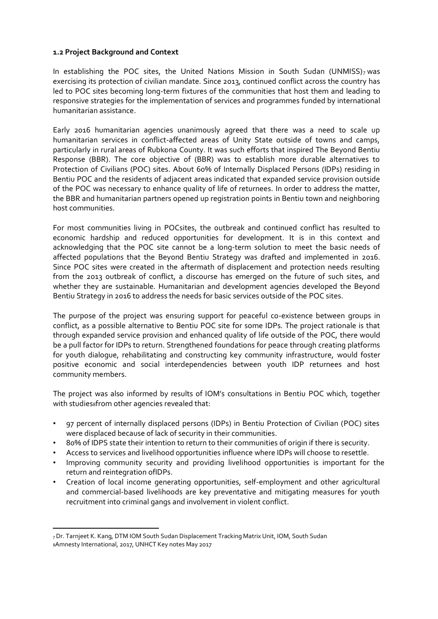### **1.2 Project Background and Context**

In establishing the POC sites, the United Nations Mission in South Sudan (UNMISS) $_7$  was exercising its protection of civilian mandate. Since 2013, continued conflict across the country has led to POC sites becoming long-term fixtures of the communities that host them and leading to responsive strategies for the implementation of services and programmes funded by international humanitarian assistance.

Early 2016 humanitarian agencies unanimously agreed that there was a need to scale up humanitarian services in conflict-affected areas of Unity State outside of towns and camps, particularly in rural areas of Rubkona County. It was such efforts that inspired The Beyond Bentiu Response (BBR). The core objective of (BBR) was to establish more durable alternatives to Protection of Civilians (POC) sites. About 60% of Internally Displaced Persons (IDPs) residing in Bentiu POC and the residents of adjacent areas indicated that expanded service provision outside of the POC was necessary to enhance quality of life of returnees. In order to address the matter, the BBR and humanitarian partners opened up registration points in Bentiu town and neighboring host communities.

For most communities living in POCsites, the outbreak and continued conflict has resulted to economic hardship and reduced opportunities for development. It is in this context and acknowledging that the POC site cannot be a long-term solution to meet the basic needs of affected populations that the Beyond Bentiu Strategy was drafted and implemented in 2016. Since POC sites were created in the aftermath of displacement and protection needs resulting from the 2013 outbreak of conflict, a discourse has emerged on the future of such sites, and whether they are sustainable. Humanitarian and development agencies developed the Beyond Bentiu Strategy in 2016 to address the needs for basic services outside of the POC sites.

The purpose of the project was ensuring support for peaceful co-existence between groups in conflict, as a possible alternative to Bentiu POC site for some IDPs. The project rationale is that through expanded service provision and enhanced quality of life outside of the POC, there would be a pull factor for IDPs to return. Strengthened foundations for peace through creating platforms for youth dialogue, rehabilitating and constructing key community infrastructure, would foster positive economic and social interdependencies between youth IDP returnees and host community members.

The project was also informed by results of IOM's consultations in Bentiu POC which, together with studies afrom other agencies revealed that:

- 97 percent of internally displaced persons (IDPs) in Bentiu Protection of Civilian (POC) sites were displaced because of lack of security in their communities.
- 80% of IDPS state their intention to return to their communities of origin if there is security.
- Access to services and livelihood opportunities influence where IDPs will choose to resettle.
- Improving community security and providing livelihood opportunities is important for the return and reintegration ofIDPs.
- Creation of local income generating opportunities, self-employment and other agricultural and commercial-based livelihoods are key preventative and mitigating measures for youth recruitment into criminal gangs and involvement in violent conflict.

<sup>7</sup> Dr. Tarnjeet K. Kang, DTM IOM South Sudan Displacement Tracking Matrix Unit, IOM, South Sudan 8Amnesty International, 2017, UNHCT Key notes May 2017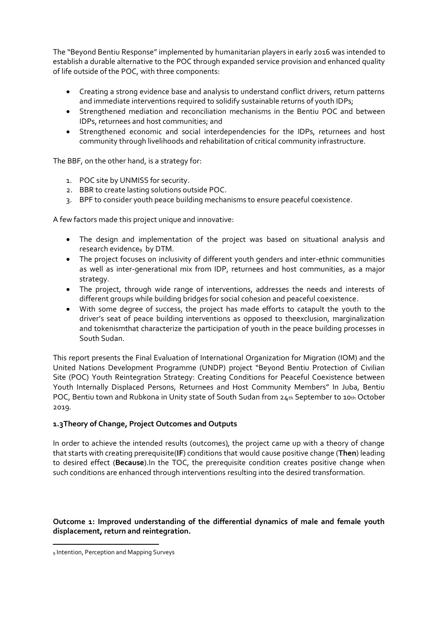The "Beyond Bentiu Response" implemented by humanitarian players in early 2016 was intended to establish a durable alternative to the POC through expanded service provision and enhanced quality of life outside of the POC, with three components:

- Creating a strong evidence base and analysis to understand conflict drivers, return patterns and immediate interventions required to solidify sustainable returns of youth IDPs;
- Strengthened mediation and reconciliation mechanisms in the Bentiu POC and between IDPs, returnees and host communities; and
- Strengthened economic and social interdependencies for the IDPs, returnees and host community through livelihoods and rehabilitation of critical community infrastructure.

The BBF, on the other hand, is a strategy for:

- 1. POC site by UNMISS for security.
- 2. BBR to create lasting solutions outside POC.
- 3. BPF to consider youth peace building mechanisms to ensure peaceful coexistence.

A few factors made this project unique and innovative:

- The design and implementation of the project was based on situational analysis and research evidence<sub>9</sub> by DTM.
- The project focuses on inclusivity of different youth genders and inter-ethnic communities as well as inter-generational mix from IDP, returnees and host communities, as a major strategy.
- The project, through wide range of interventions, addresses the needs and interests of different groups while building bridges for social cohesion and peaceful coexistence.
- With some degree of success, the project has made efforts to catapult the youth to the driver's seat of peace building interventions as opposed to theexclusion, marginalization and tokenismthat characterize the participation of youth in the peace building processes in South Sudan.

This report presents the Final Evaluation of International Organization for Migration (IOM) and the United Nations Development Programme (UNDP) project "Beyond Bentiu Protection of Civilian Site (POC) Youth Reintegration Strategy: Creating Conditions for Peaceful Coexistence between Youth Internally Displaced Persons, Returnees and Host Community Members" In Juba, Bentiu POC, Bentiu town and Rubkona in Unity state of South Sudan from 24th September to 10th October 2019.

## **1.3Theory of Change, Project Outcomes and Outputs**

In order to achieve the intended results (outcomes), the project came up with a theory of change that starts with creating prerequisite(**IF**) conditions that would cause positive change (**Then**) leading to desired effect (**Because**).In the TOC, the prerequisite condition creates positive change when such conditions are enhanced through interventions resulting into the desired transformation.

**Outcome 1: Improved understanding of the differential dynamics of male and female youth displacement, return and reintegration.** 

<sup>9</sup> Intention, Perception and Mapping Surveys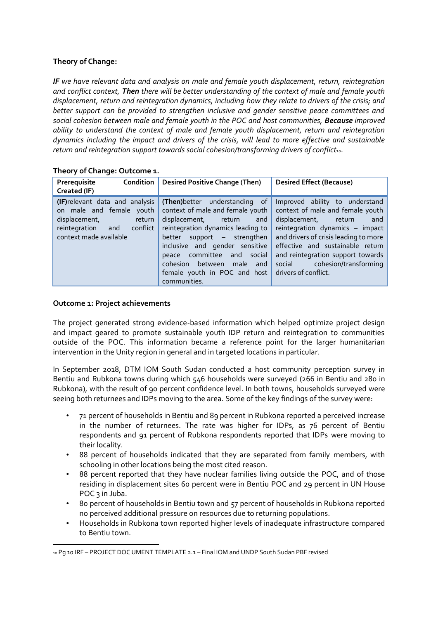## **Theory of Change:**

*IF we have relevant data and analysis on male and female youth displacement, return, reintegration and conflict context, Then there will be better understanding of the context of male and female youth displacement, return and reintegration dynamics, including how they relate to drivers of the crisis; and better support can be provided to strengthen inclusive and gender sensitive peace committees and social cohesion between male and female youth in the POC and host communities, Because improved ability to understand the context of male and female youth displacement, return and reintegration dynamics including the impact and drivers of the crisis, will lead to more effective and sustainable return and reintegration support towards social cohesion/transforming drivers of conflict10.*

| Prerequisite<br>Condition<br>Created (IF)                                                                                                         | <b>Desired Positive Change (Then)</b>                                                                                                                                                                                                                                                                                                  | <b>Desired Effect (Because)</b>                                                                                                                                                                                                                                                                                |
|---------------------------------------------------------------------------------------------------------------------------------------------------|----------------------------------------------------------------------------------------------------------------------------------------------------------------------------------------------------------------------------------------------------------------------------------------------------------------------------------------|----------------------------------------------------------------------------------------------------------------------------------------------------------------------------------------------------------------------------------------------------------------------------------------------------------------|
| (IF) relevant data and analysis<br>on male and female youth<br>displacement,<br>return<br>conflict<br>reintegration and<br>context made available | (Then) better understanding of<br>context of male and female youth<br>displacement,<br>return<br>and<br>reintegration dynamics leading to<br>support $-$ strengthen<br>better<br>inclusive and gender sensitive<br>committee<br>and social<br>peace<br>between<br>cohesion<br>male and<br>female youth in POC and host<br>communities. | Improved ability to understand<br>context of male and female youth<br>displacement, return<br>and<br>reintegration dynamics - impact<br>and drivers of crisis leading to more<br>effective and sustainable return<br>and reintegration support towards<br>social cohesion/transforming<br>drivers of conflict. |

**Theory of Change: Outcome 1.** 

## **Outcome 1: Project achievements**

The project generated strong evidence-based information which helped optimize project design and impact geared to promote sustainable youth IDP return and reintegration to communities outside of the POC. This information became a reference point for the larger humanitarian intervention in the Unity region in general and in targeted locations in particular.

In September 2018, DTM IOM South Sudan conducted a host community perception survey in Bentiu and Rubkona towns during which 546 households were surveyed (266 in Bentiu and 280 in Rubkona), with the result of 90 percent confidence level. In both towns, households surveyed were seeing both returnees and IDPs moving to the area. Some of the key findings of the survey were:

- 71 percent of households in Bentiu and 89 percent in Rubkona reported a perceived increase in the number of returnees. The rate was higher for IDPs, as 76 percent of Bentiu respondents and 91 percent of Rubkona respondents reported that IDPs were moving to their locality.
- 88 percent of households indicated that they are separated from family members, with schooling in other locations being the most cited reason.
- 88 percent reported that they have nuclear families living outside the POC, and of those residing in displacement sites 60 percent were in Bentiu POC and 29 percent in UN House POC<sub>3</sub> in Juba.
- 80 percent of households in Bentiu town and 57 percent of households in Rubkona reported no perceived additional pressure on resources due to returning populations.
- Households in Rubkona town reported higher levels of inadequate infrastructure compared to Bentiu town.

<sup>10</sup> Pg 10 IRF – PROJECT DOC UMENT TEMPLATE 2.1 – Final IOM and UNDP South Sudan PBF revised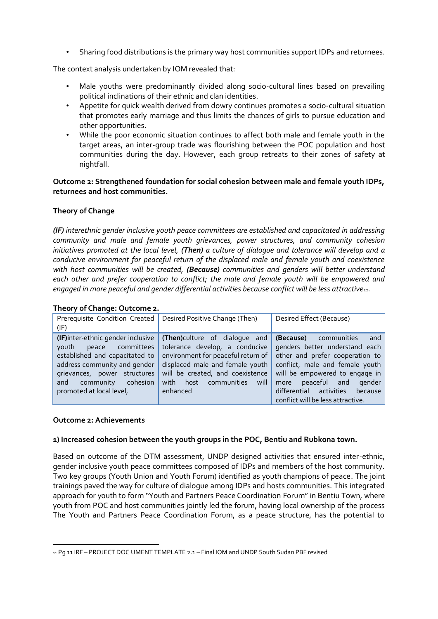• Sharing food distributions is the primary way host communities support IDPs and returnees.

The context analysis undertaken by IOM revealed that:

- Male youths were predominantly divided along socio-cultural lines based on prevailing political inclinations of their ethnic and clan identities.
- Appetite for quick wealth derived from dowry continues promotes a socio-cultural situation that promotes early marriage and thus limits the chances of girls to pursue education and other opportunities.
- While the poor economic situation continues to affect both male and female youth in the target areas, an inter-group trade was flourishing between the POC population and host communities during the day. However, each group retreats to their zones of safety at nightfall.

**Outcome 2: Strengthened foundation for social cohesion between male and female youth IDPs, returnees and host communities.** 

## **Theory of Change**

*(IF) interethnic gender inclusive youth peace committees are established and capacitated in addressing community and male and female youth grievances, power structures, and community cohesion initiatives promoted at the local level, (Then) a culture of dialogue and tolerance will develop and a conducive environment for peaceful return of the displaced male and female youth and coexistence with host communities will be created, (Because) communities and genders will better understand each other and prefer cooperation to conflict; the male and female youth will be empowered and engaged in more peaceful and gender differential activities because conflict will be less attractive11.*

### **Theory of Change: Outcome 2.**

| $111201$ , $91$ Cridinger obteome 21                                                                                                                                                                                   |                                                                                                                                                                                                                                                 |                                                                                                                                                                                                                                                         |
|------------------------------------------------------------------------------------------------------------------------------------------------------------------------------------------------------------------------|-------------------------------------------------------------------------------------------------------------------------------------------------------------------------------------------------------------------------------------------------|---------------------------------------------------------------------------------------------------------------------------------------------------------------------------------------------------------------------------------------------------------|
| Prerequisite Condition Created  <br>(IF)                                                                                                                                                                               | Desired Positive Change (Then)                                                                                                                                                                                                                  | Desired Effect (Because)                                                                                                                                                                                                                                |
| (IF)inter-ethnic gender inclusive<br>peace committees<br>youth<br>established and capacitated to<br>address community and gender<br>grievances, power structures<br>and community cohesion<br>promoted at local level, | (Then)culture of dialogue and (Because) communities<br>tolerance develop, a conducive<br>environment for peaceful return of<br>displaced male and female youth<br>will be created, and coexistence<br>host communities will<br>with<br>enhanced | and<br>genders better understand each<br>other and prefer cooperation to<br>conflict, male and female youth<br>will be empowered to engage in<br>peaceful and gender<br>more<br>differential activities<br>because<br>conflict will be less attractive. |

### **Outcome 2: Achievements**

### **1) Increased cohesion between the youth groups in the POC, Bentiu and Rubkona town.**

Based on outcome of the DTM assessment, UNDP designed activities that ensured inter-ethnic, gender inclusive youth peace committees composed of IDPs and members of the host community. Two key groups (Youth Union and Youth Forum) identified as youth champions of peace. The joint trainings paved the way for culture of dialogue among IDPs and hosts communities. This integrated approach for youth to form "Youth and Partners Peace Coordination Forum" in Bentiu Town, where youth from POC and host communities jointly led the forum, having local ownership of the process The Youth and Partners Peace Coordination Forum, as a peace structure, has the potential to

<sup>11</sup> Pg 11 IRF – PROJECT DOC UMENT TEMPLATE 2.1 – Final IOM and UNDP South Sudan PBF revised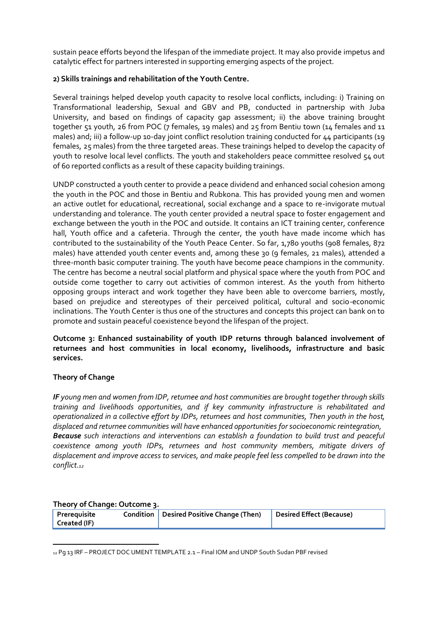sustain peace efforts beyond the lifespan of the immediate project. It may also provide impetus and catalytic effect for partners interested in supporting emerging aspects of the project.

### **2) Skills trainings and rehabilitation of the Youth Centre.**

Several trainings helped develop youth capacity to resolve local conflicts, including: i) Training on Transformational leadership, Sexual and GBV and PB, conducted in partnership with Juba University, and based on findings of capacity gap assessment; ii) the above training brought together 51 youth, 26 from POC (7 females, 19 males) and 25 from Bentiu town (14 females and 11 males) and; iii) a follow-up 10-day joint conflict resolution training conducted for 44 participants (19 females, 25 males) from the three targeted areas. These trainings helped to develop the capacity of youth to resolve local level conflicts. The youth and stakeholders peace committee resolved 54 out of 60 reported conflicts as a result of these capacity building trainings.

UNDP constructed a youth center to provide a peace dividend and enhanced social cohesion among the youth in the POC and those in Bentiu and Rubkona. This has provided young men and women an active outlet for educational, recreational, social exchange and a space to re-invigorate mutual understanding and tolerance. The youth center provided a neutral space to foster engagement and exchange between the youth in the POC and outside. It contains an ICT training center, conference hall, Youth office and a cafeteria. Through the center, the youth have made income which has contributed to the sustainability of the Youth Peace Center. So far, 1,780 youths (908 females, 872 males) have attended youth center events and, among these 30 (9 females, 21 males), attended a three-month basic computer training. The youth have become peace champions in the community. The centre has become a neutral social platform and physical space where the youth from POC and outside come together to carry out activities of common interest. As the youth from hitherto opposing groups interact and work together they have been able to overcome barriers, mostly, based on prejudice and stereotypes of their perceived political, cultural and socio-economic inclinations. The Youth Center is thus one of the structures and concepts this project can bank on to promote and sustain peaceful coexistence beyond the lifespan of the project.

**Outcome 3: Enhanced sustainability of youth IDP returns through balanced involvement of returnees and host communities in local economy, livelihoods, infrastructure and basic services.** 

### **Theory of Change**

*IF young men and women from IDP, returnee and host communities are brought together through skills training and livelihoods opportunities, and if key community infrastructure is rehabilitated and operationalized in a collective effort by IDPs, returnees and host communities, Then youth in the host, displaced and returnee communities will have enhanced opportunities for socioeconomic reintegration, Because such interactions and interventions can establish a foundation to build trust and peaceful coexistence among youth IDPs, returnees and host community members, mitigate drivers of displacement and improve access to services, and make people feel less compelled to be drawn into the conflict.<sup>12</sup>*

### **Theory of Change: Outcome 3.**

| Prerequisite<br>Created (IF) | Condition   Desired Positive Change (Then) | Desired Effect (Because) |
|------------------------------|--------------------------------------------|--------------------------|
|                              |                                            |                          |

<sup>12</sup> Pg 13 IRF – PROJECT DOC UMENT TEMPLATE 2.1 – Final IOM and UNDP South Sudan PBF revised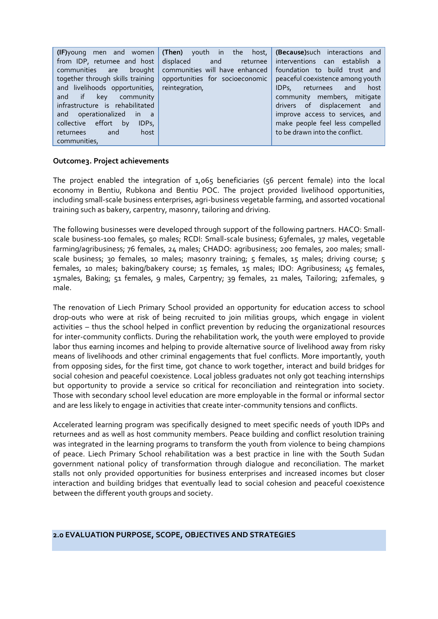### **Outcome3. Project achievements**

The project enabled the integration of 1,065 beneficiaries (56 percent female) into the local economy in Bentiu, Rubkona and Bentiu POC. The project provided livelihood opportunities, including small-scale business enterprises, agri-business vegetable farming, and assorted vocational training such as bakery, carpentry, masonry, tailoring and driving.

The following businesses were developed through support of the following partners. HACO: Smallscale business-100 females, 50 males; RCDI: Small-scale business; 63females, 37 males, vegetable farming/agribusiness; 76 females, 24 males; CHADO: agribusiness; 200 females, 200 males; smallscale business; 30 females, 10 males; masonry training; 5 females, 15 males; driving course; 5 females, 10 males; baking/bakery course; 15 females, 15 males; IDO: Agribusiness; 45 females, 15males, Baking; 51 females, 9 males, Carpentry; 39 females, 21 males, Tailoring; 21females, 9 male.

The renovation of Liech Primary School provided an opportunity for education access to school drop-outs who were at risk of being recruited to join militias groups, which engage in violent activities – thus the school helped in conflict prevention by reducing the organizational resources for inter-community conflicts. During the rehabilitation work, the youth were employed to provide labor thus earning incomes and helping to provide alternative source of livelihood away from risky means of livelihoods and other criminal engagements that fuel conflicts. More importantly, youth from opposing sides, for the first time, got chance to work together, interact and build bridges for social cohesion and peaceful coexistence. Local jobless graduates not only got teaching internships but opportunity to provide a service so critical for reconciliation and reintegration into society. Those with secondary school level education are more employable in the formal or informal sector and are less likely to engage in activities that create inter-community tensions and conflicts.

Accelerated learning program was specifically designed to meet specific needs of youth IDPs and returnees and as well as host community members. Peace building and conflict resolution training was integrated in the learning programs to transform the youth from violence to being champions of peace. Liech Primary School rehabilitation was a best practice in line with the South Sudan government national policy of transformation through dialogue and reconciliation. The market stalls not only provided opportunities for business enterprises and increased incomes but closer interaction and building bridges that eventually lead to social cohesion and peaceful coexistence between the different youth groups and society.

### <span id="page-14-0"></span>**2.0 EVALUATION PURPOSE, SCOPE, OBJECTIVES AND STRATEGIES**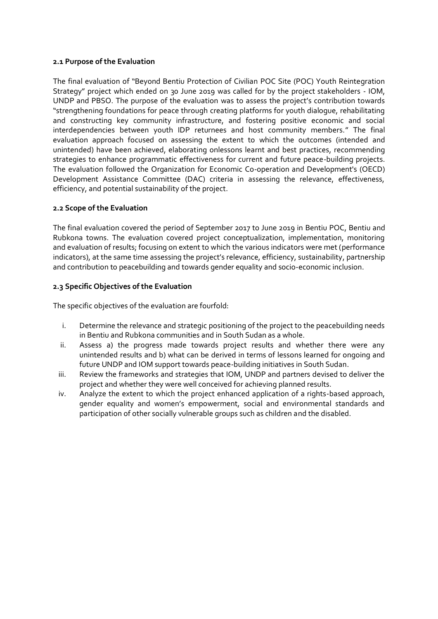### <span id="page-15-0"></span>**2.1 Purpose of the Evaluation**

The final evaluation of "Beyond Bentiu Protection of Civilian POC Site (POC) Youth Reintegration Strategy" project which ended on 30 June 2019 was called for by the project stakeholders - IOM, UNDP and PBSO. The purpose of the evaluation was to assess the project's contribution towards "strengthening foundations for peace through creating platforms for youth dialogue, rehabilitating and constructing key community infrastructure, and fostering positive economic and social interdependencies between youth IDP returnees and host community members." The final evaluation approach focused on assessing the extent to which the outcomes (intended and unintended) have been achieved, elaborating onlessons learnt and best practices, recommending strategies to enhance programmatic effectiveness for current and future peace-building projects. The evaluation followed the Organization for Economic Co-operation and Development's (OECD) Development Assistance Committee (DAC) criteria in assessing the relevance, effectiveness, efficiency, and potential sustainability of the project.

## <span id="page-15-1"></span>**2.2 Scope of the Evaluation**

The final evaluation covered the period of September 2017 to June 2019 in Bentiu POC, Bentiu and Rubkona towns. The evaluation covered project conceptualization, implementation, monitoring and evaluation of results; focusing on extent to which the various indicators were met (performance indicators), at the same time assessing the project's relevance, efficiency, sustainability, partnership and contribution to peacebuilding and towards gender equality and socio-economic inclusion.

## <span id="page-15-2"></span>**2.3 Specific Objectives of the Evaluation**

The specific objectives of the evaluation are fourfold:

- i. Determine the relevance and strategic positioning of the project to the peacebuilding needs in Bentiu and Rubkona communities and in South Sudan as a whole.
- ii. Assess a) the progress made towards project results and whether there were any unintended results and b) what can be derived in terms of lessons learned for ongoing and future UNDP and IOM support towards peace-building initiatives in South Sudan.
- iii. Review the frameworks and strategies that IOM, UNDP and partners devised to deliver the project and whether they were well conceived for achieving planned results.
- <span id="page-15-3"></span>iv. Analyze the extent to which the project enhanced application of a rights-based approach, gender equality and women's empowerment, social and environmental standards and participation of other socially vulnerable groups such as children and the disabled.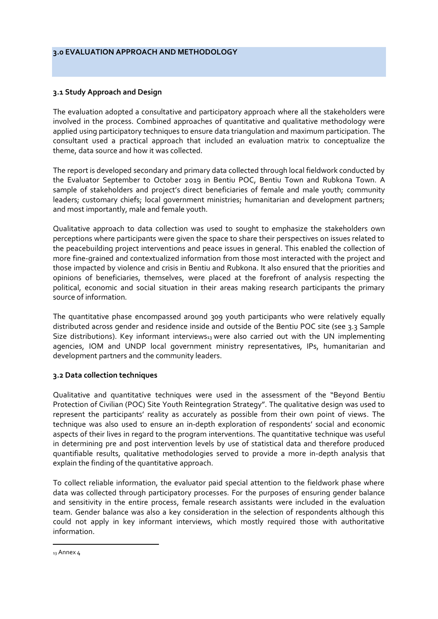### **3.0 EVALUATION APPROACH AND METHODOLOGY**

### <span id="page-16-0"></span>**3.1 Study Approach and Design**

The evaluation adopted a consultative and participatory approach where all the stakeholders were involved in the process. Combined approaches of quantitative and qualitative methodology were applied using participatory techniques to ensure data triangulation and maximum participation. The consultant used a practical approach that included an evaluation matrix to conceptualize the theme, data source and how it was collected.

<span id="page-16-1"></span>The report is developed secondary and primary data collected through local fieldwork conducted by the Evaluator September to October 2019 in Bentiu POC, Bentiu Town and Rubkona Town. A sample of stakeholders and project's direct beneficiaries of female and male youth; community leaders; customary chiefs; local government ministries; humanitarian and development partners; and most importantly, male and female youth.

Qualitative approach to data collection was used to sought to emphasize the stakeholders own perceptions where participants were given the space to share their perspectives on issues related to the peacebuilding project interventions and peace issues in general. This enabled the collection of more fine-grained and contextualized information from those most interacted with the project and those impacted by violence and crisis in Bentiu and Rubkona. It also ensured that the priorities and opinions of beneficiaries, themselves, were placed at the forefront of analysis respecting the political, economic and social situation in their areas making research participants the primary source of information.

The quantitative phase encompassed around 309 youth participants who were relatively equally distributed across gender and residence inside and outside of the Bentiu POC site (see 3.3 Sample Size distributions). Key informant interviews $_{13}$  were also carried out with the UN implementing agencies, IOM and UNDP local government ministry representatives, IPs, humanitarian and development partners and the community leaders.

### **3.2 Data collection techniques**

Qualitative and quantitative techniques were used in the assessment of the "Beyond Bentiu Protection of Civilian (POC) Site Youth Reintegration Strategy". The qualitative design was used to represent the participants' reality as accurately as possible from their own point of views. The technique was also used to ensure an in‐depth exploration of respondents' social and economic aspects of their lives in regard to the program interventions. The quantitative technique was useful in determining pre and post intervention levels by use of statistical data and therefore produced quantifiable results, qualitative methodologies served to provide a more in-depth analysis that explain the finding of the quantitative approach.

To collect reliable information, the evaluator paid special attention to the fieldwork phase where data was collected through participatory processes. For the purposes of ensuring gender balance and sensitivity in the entire process, female research assistants were included in the evaluation team. Gender balance was also a key consideration in the selection of respondents although this could not apply in key informant interviews, which mostly required those with authoritative information.

<sup>13</sup> Annex 4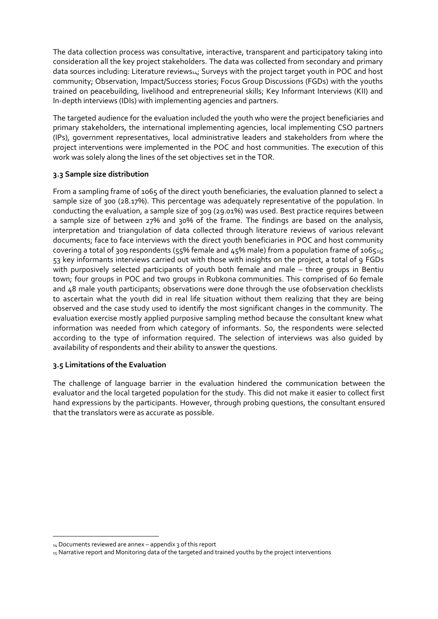The data collection process was consultative, interactive, transparent and participatory taking into consideration all the key project stakeholders. The data was collected from secondary and primary data sources including: Literature reviews14; Surveys with the project target youth in POC and host community; Observation, Impact/Success stories; Focus Group Discussions (FGDs) with the youths trained on peacebuilding, livelihood and entrepreneurial skills; Key Informant Interviews (KII) and In-depth interviews (IDIs) with implementing agencies and partners.

The targeted audience for the evaluation included the youth who were the project beneficiaries and primary stakeholders, the international implementing agencies, local implementing CSO partners (IPs), government representatives, local administrative leaders and stakeholders from where the project interventions were implemented in the POC and host communities. The execution of this work was solely along the lines of the set objectives set in the TOR.

## **3.3 Sample size distribution**

From a sampling frame of 1065 of the direct youth beneficiaries, the evaluation planned to select a sample size of 300 (28.17%). This percentage was adequately representative of the population. In conducting the evaluation, a sample size of 309 (29.01%) was used. Best practice requires between a sample size of between 27% and 30% of the frame. The findings are based on the analysis, interpretation and triangulation of data collected through literature reviews of various relevant documents; face to face interviews with the direct youth beneficiaries in POC and host community covering a total of 309 respondents ( $55\%$  female and  $45\%$  male) from a population frame of 106 $525$ ; 53 key informants interviews carried out with those with insights on the project, a total of 9 FGDs with purposively selected participants of youth both female and male – three groups in Bentiu town; four groups in POC and two groups in Rubkona communities. This comprised of 60 female and 48 male youth participants; observations were done through the use ofobservation checklists to ascertain what the youth did in real life situation without them realizing that they are being observed and the case study used to identify the most significant changes in the community. The evaluation exercise mostly applied purposive sampling method because the consultant knew what information was needed from which category of informants. So, the respondents were selected according to the type of information required. The selection of interviews was also guided by availability of respondents and their ability to answer the questions.

### <span id="page-17-0"></span>**3.5 Limitations of the Evaluation**

The challenge of language barrier in the evaluation hindered the communication between the evaluator and the local targeted population for the study. This did not make it easier to collect first hand expressions by the participants. However, through probing questions, the consultant ensured that the translators were as accurate as possible.

 $14$  Documents reviewed are annex – appendix 3 of this report

<sup>15</sup> Narrative report and Monitoring data of the targeted and trained youths by the project interventions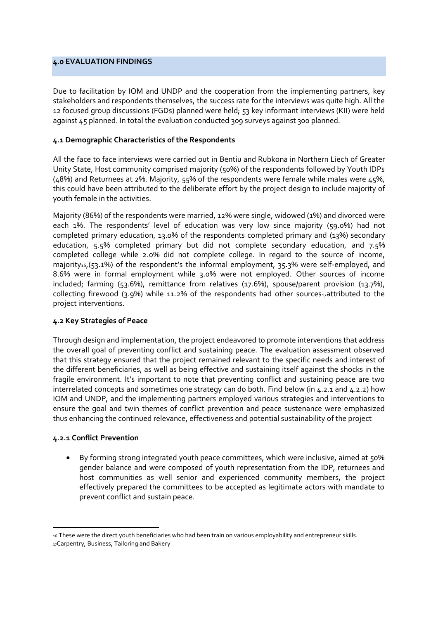### <span id="page-18-0"></span>**4.0 EVALUATION FINDINGS**

Due to facilitation by IOM and UNDP and the cooperation from the implementing partners, key stakeholders and respondents themselves, the success rate for the interviews was quite high. All the 12 focused group discussions (FGDs) planned were held; 53 key informant interviews (KII) were held against 45 planned. In total the evaluation conducted 309 surveys against 300 planned.

### **4.1 Demographic Characteristics of the Respondents**

All the face to face interviews were carried out in Bentiu and Rubkona in Northern Liech of Greater Unity State, Host community comprised majority (50%) of the respondents followed by Youth IDPs (48%) and Returnees at 2%. Majority, 55% of the respondents were female while males were 45%, this could have been attributed to the deliberate effort by the project design to include majority of youth female in the activities.

Majority (86%) of the respondents were married, 12% were single, widowed (1%) and divorced were each 1%. The respondents' level of education was very low since majority (59.0%) had not completed primary education, 13.0% of the respondents completed primary and (13%) secondary education, 5.5% completed primary but did not complete secondary education, and 7.5% completed college while 2.0% did not complete college. In regard to the source of income, majority<sub>16</sub>,(53.1%) of the respondent's the informal employment, 35.3% were self-employed, and 8.6% were in formal employment while 3.0% were not employed. Other sources of income included; farming (53.6%), remittance from relatives (17.6%), spouse/parent provision (13.7%), collecting firewood (3.9%) while 11.2% of the respondents had other sources<sub>17</sub>attributed to the project interventions.

## **4.2 Key Strategies of Peace**

Through design and implementation, the project endeavored to promote interventions that address the overall goal of preventing conflict and sustaining peace. The evaluation assessment observed that this strategy ensured that the project remained relevant to the specific needs and interest of the different beneficiaries, as well as being effective and sustaining itself against the shocks in the fragile environment. It's important to note that preventing conflict and sustaining peace are two interrelated concepts and sometimes one strategy can do both. Find below (in 4.2.1 and 4.2.2) how IOM and UNDP, and the implementing partners employed various strategies and interventions to ensure the goal and twin themes of conflict prevention and peace sustenance were emphasized thus enhancing the continued relevance, effectiveness and potential sustainability of the project

## **4.2.1 Conflict Prevention**

• By forming strong integrated youth peace committees, which were inclusive, aimed at 50% gender balance and were composed of youth representation from the IDP, returnees and host communities as well senior and experienced community members, the project effectively prepared the committees to be accepted as legitimate actors with mandate to prevent conflict and sustain peace.

<sup>16</sup> These were the direct youth beneficiaries who had been train on various employability and entrepreneur skills.

<sup>17</sup>Carpentry, Business, Tailoring and Bakery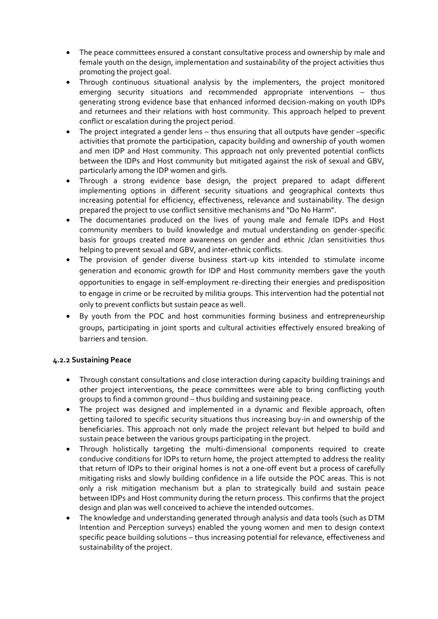- The peace committees ensured a constant consultative process and ownership by male and female youth on the design, implementation and sustainability of the project activities thus promoting the project goal.
- Through continuous situational analysis by the implementers, the project monitored emerging security situations and recommended appropriate interventions – thus generating strong evidence base that enhanced informed decision-making on youth IDPs and returnees and their relations with host community. This approach helped to prevent conflict or escalation during the project period.
- The project integrated a gender lens thus ensuring that all outputs have gender –specific activities that promote the participation, capacity building and ownership of youth women and men IDP and Host community. This approach not only prevented potential conflicts between the IDPs and Host community but mitigated against the risk of sexual and GBV, particularly among the IDP women and girls.
- Through a strong evidence base design, the project prepared to adapt different implementing options in different security situations and geographical contexts thus increasing potential for efficiency, effectiveness, relevance and sustainability. The design prepared the project to use conflict sensitive mechanisms and "Do No Harm".
- The documentaries produced on the lives of young male and female IDPs and Host community members to build knowledge and mutual understanding on gender-specific basis for groups created more awareness on gender and ethnic /clan sensitivities thus helping to prevent sexual and GBV, and inter-ethnic conflicts.
- The provision of gender diverse business start-up kits intended to stimulate income generation and economic growth for IDP and Host community members gave the youth opportunities to engage in self-employment re-directing their energies and predisposition to engage in crime or be recruited by militia groups. This intervention had the potential not only to prevent conflicts but sustain peace as well.
- By youth from the POC and host communities forming business and entrepreneurship groups, participating in joint sports and cultural activities effectively ensured breaking of barriers and tension.

## **4.2.2 Sustaining Peace**

- Through constant consultations and close interaction during capacity building trainings and other project interventions, the peace committees were able to bring conflicting youth groups to find a common ground – thus building and sustaining peace.
- The project was designed and implemented in a dynamic and flexible approach, often getting tailored to specific security situations thus increasing buy-in and ownership of the beneficiaries. This approach not only made the project relevant but helped to build and sustain peace between the various groups participating in the project.
- Through holistically targeting the multi-dimensional components required to create conducive conditions for IDPs to return home, the project attempted to address the reality that return of IDPs to their original homes is not a one-off event but a process of carefully mitigating risks and slowly building confidence in a life outside the POC areas. This is not only a risk mitigation mechanism but a plan to strategically build and sustain peace between IDPs and Host community during the return process. This confirms that the project design and plan was well conceived to achieve the intended outcomes.
- The knowledge and understanding generated through analysis and data tools (such as DTM Intention and Perception surveys) enabled the young women and men to design context specific peace building solutions – thus increasing potential for relevance, effectiveness and sustainability of the project.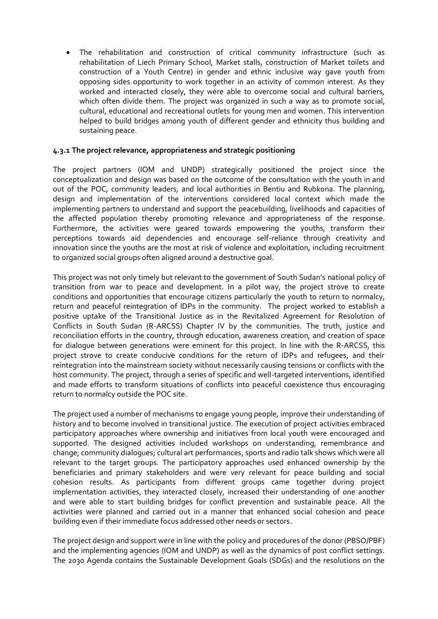• The rehabilitation and construction of critical community infrastructure (such as rehabilitation of Liech Primary School, Market stalls, construction of Market toilets and construction of a Youth Centre) in gender and ethnic inclusive way gave youth from opposing sides opportunity to work together in an activity of common interest. As they worked and interacted closely, they were able to overcome social and cultural barriers, which often divide them. The project was organized in such a way as to promote social, cultural, educational and recreational outlets for young men and women. This intervention helped to build bridges among youth of different gender and ethnicity thus building and sustaining peace.

## **4.3.1 The project relevance, appropriateness and strategic positioning**

The project partners (IOM and UNDP) strategically positioned the project since the conceptualization and design was based on the outcome of the consultation with the youth in and out of the POC, community leaders, and local authorities in Bentiu and Rubkona. The planning, design and implementation of the interventions considered local context which made the implementing partners to understand and support the peacebuilding, livelihoods and capacities of the affected population thereby promoting relevance and appropriateness of the response. Furthermore, the activities were geared towards empowering the youths, transform their perceptions towards aid dependencies and encourage self-reliance through creativity and innovation since the youths are the most at risk of violence and exploitation, including recruitment to organized social groups often aligned around a destructive goal.

This project was not only timely but relevant to the government of South Sudan's national policy of transition from war to peace and development. In a pilot way, the project strove to create conditions and opportunities that encourage citizens particularly the youth to return to normalcy, return and peaceful reintegration of IDPs in the community. The project worked to establish a positive uptake of the Transitional Justice as in the Revitalized Agreement for Resolution of Conflicts in South Sudan (R-ARCSS) Chapter IV by the communities. The truth, justice and reconciliation efforts in the country, through education, awareness creation, and creation of space for dialogue between generations were eminent for this project. In line with the R-ARCSS, this project strove to create conducive conditions for the return of IDPs and refugees, and their reintegration into the mainstream society without necessarily causing tensions or conflicts with the host community. The project, through a series of specific and well-targeted interventions, identified and made efforts to transform situations of conflicts into peaceful coexistence thus encouraging return to normalcy outside the POC site.

The project used a number of mechanisms to engage young people, improve their understanding of history and to become involved in transitional justice. The execution of project activities embraced participatory approaches where ownership and initiatives from local youth were encouraged and supported. The designed activities included workshops on understanding, remembrance and change; community dialogues; cultural art performances, sports and radio talk shows which were all relevant to the target groups. The participatory approaches used enhanced ownership by the beneficiaries and primary stakeholders and were very relevant for peace building and social cohesion results. As participants from different groups came together during project implementation activities, they interacted closely, increased their understanding of one another and were able to start building bridges for conflict prevention and sustainable peace. All the activities were planned and carried out in a manner that enhanced social cohesion and peace building even if their immediate focus addressed other needs or sectors.

The project design and support were in line with the policy and procedures of the donor (PBSO/PBF) and the implementing agencies (IOM and UNDP) as well as the dynamics of post conflict settings. The 2030 Agenda contains the Sustainable Development Goals (SDGs) and the resolutions on the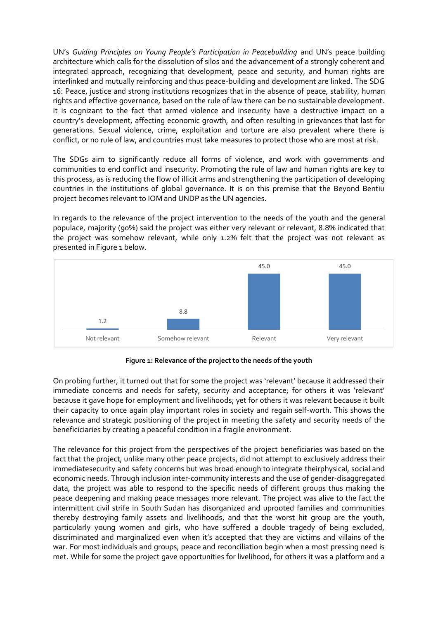UN's *[Guiding Principles on Young People's Participation in Peacebuilding](https://www.sfcg.org/wp-content/uploads/2014/04/Guiding-Principles_EN.pdf)* and UN's peace building architecture which calls for the dissolution of silos and the advancement of a strongly coherent and integrated approach, recognizing that development, peace and security, and human rights are interlinked and mutually reinforcing and thus peace-building and development are linked. The SDG 16: Peace, justice and strong institutions recognizes that in the absence of peace, stability, human rights and effective governance, based on the rule of law there can be no sustainable development. It is cognizant to the fact that armed violence and insecurity have a destructive impact on a country's development, affecting economic growth, and often resulting in grievances that last for generations. Sexual violence, crime, exploitation and torture are also prevalent where there is conflict, or no rule of law, and countries must take measures to protect those who are most at risk.

The SDGs aim to significantly reduce all forms of violence, and work with governments and communities to end conflict and insecurity. Promoting the rule of law and human rights are key to this process, as is reducing the flow of illicit arms and strengthening the participation of developing countries in the institutions of global governance. It is on this premise that the Beyond Bentiu project becomes relevant to IOM and UNDP as the UN agencies.

In regards to the relevance of the project intervention to the needs of the youth and the general populace, majority (90%) said the project was either very relevant or relevant, 8.8% indicated that the project was somehow relevant, while only 1.2% felt that the project was not relevant as presented in Figure 1 below.



**Figure 1: Relevance of the project to the needs of the youth**

On probing further, it turned out that for some the project was 'relevant' because it addressed their immediate concerns and needs for safety, security and acceptance; for others it was 'relevant' because it gave hope for employment and livelihoods; yet for others it was relevant because it built their capacity to once again play important roles in society and regain self-worth. This shows the relevance and strategic positioning of the project in meeting the safety and security needs of the beneficiciaries by creating a peaceful condition in a fragile environment.

The relevance for this project from the perspectives of the project beneficiaries was based on the fact that the project, unlike many other peace projects, did not attempt to exclusively address their immediatesecurity and safety concerns but was broad enough to integrate theirphysical, social and economic needs. Through inclusion inter-community interests and the use of gender-disaggregated data, the project was able to respond to the specific needs of different groups thus making the peace deepening and making peace messages more relevant. The project was alive to the fact the intermittent civil strife in South Sudan has disorganized and uprooted families and communities thereby destroying family assets and livelihoods, and that the worst hit group are the youth, particularly young women and girls, who have suffered a double tragedy of being excluded, discriminated and marginalized even when it's accepted that they are victims and villains of the war. For most individuals and groups, peace and reconciliation begin when a most pressing need is met. While for some the project gave opportunities for livelihood, for others it was a platform and a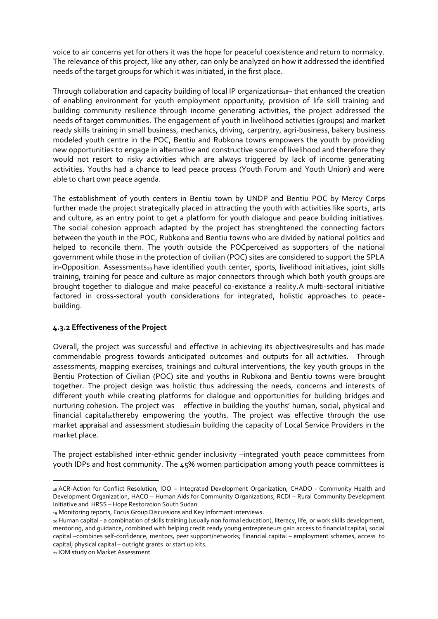voice to air concerns yet for others it was the hope for peaceful coexistence and return to normalcy. The relevance of this project, like any other, can only be analyzed on how it addressed the identified needs of the target groups for which it was initiated, in the first place.

Through collaboration and capacity building of local IP organizations18– that enhanced the creation of enabling environment for youth employment opportunity, provision of life skill training and building community resilience through income generating activities, the project addressed the needs of target communities. The engagement of youth in livelihood activities (groups) and market ready skills training in small business, mechanics, driving, carpentry, agri-business, bakery business modeled youth centre in the POC, Bentiu and Rubkona towns empowers the youth by providing new opportunities to engage in alternative and constructive source of livelihood and therefore they would not resort to risky activities which are always triggered by lack of income generating activities. Youths had a chance to lead peace process (Youth Forum and Youth Union) and were able to chart own peace agenda.

The establishment of youth centers in Bentiu town by UNDP and Bentiu POC by Mercy Corps further made the project strategically placed in attracting the youth with activities like sports, arts and culture, as an entry point to get a platform for youth dialogue and peace building initiatives. The social cohesion approach adapted by the project has strenghtened the connecting factors between the youth in the POC, Rubkona and Bentiu towns who are divided by national politics and helped to reconcile them. The youth outside the POCperceived as supporters of the national government while those in the protection of civilian (POC) sites are considered to support the SPLA in-Opposition. Assessments<sub>19</sub> have identified youth center, sports, livelihood initiatives, joint skills training, training for peace and culture as major connectors through which both youth groups are brought together to dialogue and make peaceful co-existance a reality.A multi-sectoral initiative factored in cross-sectoral youth considerations for integrated, holistic approaches to peacebuilding.

## **4.3.2 Effectiveness of the Project**

Overall, the project was successful and effective in achieving its objectives/results and has made commendable progress towards anticipated outcomes and outputs for all activities. Through assessments, mapping exercises, trainings and cultural interventions, the key youth groups in the Bentiu Protection of Civilian (POC) site and youths in Rubkona and Bentiu towns were brought together. The project design was holistic thus addressing the needs, concerns and interests of different youth while creating platforms for dialogue and opportunities for building bridges and nurturing cohesion. The project was effective in building the youths' human, social, physical and financial capital<sub>20</sub>thereby empowering the youths. The project was effective through the use market appraisal and assessment studies<sub>21</sub>in building the capacity of Local Service Providers in the market place.

The project established inter-ethnic gender inclusivity –integrated youth peace committees from youth IDPs and host community. The 45% women participation among youth peace committees is

<sup>18</sup> ACR-Action for Conflict Resolution, IDO – Integrated Development Organization, CHADO - Community Health and Development Organization, HACO – Human Aids for Community Organizations, RCDI – Rural Community Development Initiative and HRSS – Hope Restoration South Sudan.

<sup>19</sup> Monitoring reports, Focus Group Discussions and Key Informant interviews.

<sup>20</sup> Human capital - a combination of skills training (usually non formal education), literacy, life, or work skills development, mentoring, and guidance, combined with helping credit ready young entrepreneurs gain access to financial capital; social capital –combines self-confidence, mentors, peer support/networks; Financial capital – employment schemes, access to capital; physical capital – outright grants or start up kits.

<sup>21</sup> IOM study on Market Assessment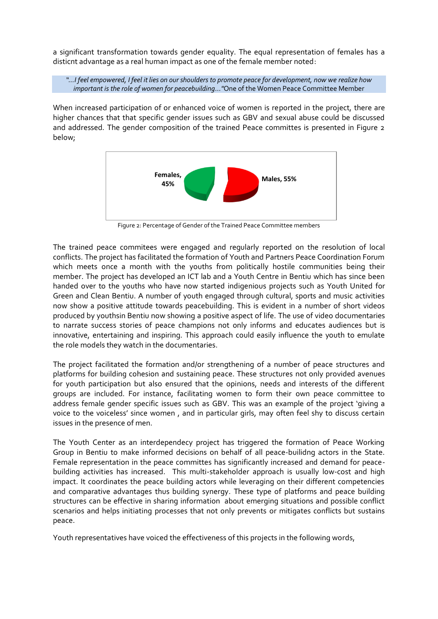a significant transformation towards gender equality. The equal representation of females has a disticnt advantage as a real human impact as one of the female member noted:

*"…I feel empowered, I feel it lies on our shoulders to promote peace for development, now we realize how important is the role of women for peacebuilding…"*One of the Women Peace Committee Member

When increased participation of or enhanced voice of women is reported in the project, there are higher chances that that specific gender issues such as GBV and sexual abuse could be discussed and addressed. The gender composition of the trained Peace committes is presented in Figure 2 below;



Figure 2: Percentage of Gender of the Trained Peace Committee members

The trained peace commitees were engaged and regularly reported on the resolution of local conflicts. The project has facilitated the formation of Youth and Partners Peace Coordination Forum which meets once a month with the youths from politically hostile communities being their member. The project has developed an ICT lab and a Youth Centre in Bentiu which has since been handed over to the youths who have now started indigenious projects such as Youth United for Green and Clean Bentiu. A number of youth engaged through cultural, sports and music activities now show a positive attitude towards peacebuilding. This is evident in a number of short videos produced by youthsin Bentiu now showing a positive aspect of life. The use of video documentaries to narrate success stories of peace champions not only informs and educates audiences but is innovative, entertaining and inspiring. This approach could easily influence the youth to emulate the role models they watch in the documentaries.

The project facilitated the formation and/or strengthening of a number of peace structures and platforms for building cohesion and sustaining peace. These structures not only provided avenues for youth participation but also ensured that the opinions, needs and interests of the different groups are included. For instance, facilitating women to form their own peace committee to address female gender specific issues such as GBV. This was an example of the project 'giving a voice to the voiceless' since women , and in particular girls, may often feel shy to discuss certain issues in the presence of men.

The Youth Center as an interdependecy project has triggered the formation of Peace Working Group in Bentiu to make informed decisions on behalf of all peace-builidng actors in the State. Female representation in the peace committes has significantly increased and demand for peacebuilding activities has increased. This multi-stakeholder approach is usually low-cost and high impact. It coordinates the peace building actors while leveraging on their different competencies and comparative advantages thus building synergy. These type of platforms and peace building structures can be effective in sharing information about emerging situations and possible conflict scenarios and helps initiating processes that not only prevents or mitigates conflicts but sustains peace.

Youth representatives have voiced the effectiveness of this projects in the following words,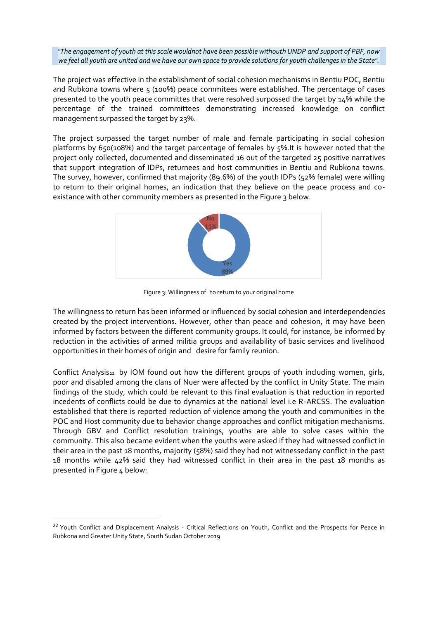*"The engagement of youth at this scale wouldnot have been possible withouth UNDP and support of PBF, now we feel all youth are united and we have our own space to provide solutions for youth challenges in the State".*

The project was effective in the establishment of social cohesion mechanisms in Bentiu POC, Bentiu and Rubkona towns where 5 (100%) peace commitees were established. The percentage of cases presented to the youth peace committes that were resolved surpossed the target by 14% while the percentage of the trained committees demonstrating increased knowledge on conflict management surpassed the target by 23%.

The project surpassed the target number of male and female participating in social cohesion platforms by 650(108%) and the target parcentage of females by 5%.It is however noted that the project only collected, documented and disseminated 16 out of the targeted 25 positive narratives that support integration of IDPs, returnees and host communities in Bentiu and Rubkona towns. The survey, however, confirmed that majority (89.6%) of the youth IDPs (52% female) were willing to return to their original homes, an indication that they believe on the peace process and coexistance with other community members as presented in the Figure 3 below.



Figure 3: Willingness of to return to your original home

The willingness to return has been informed or influenced by social cohesion and interdependencies created by the project interventions. However, other than peace and cohesion, it may have been informed by factors between the different community groups. It could, for instance, be informed by reduction in the activities of armed militia groups and availability of basic services and livelihood opportunities in their homes of origin and desire for family reunion.

Conflict Analysis<sub>22</sub> by IOM found out how the different groups of youth including women, girls, poor and disabled among the clans of Nuer were affected by the conflict in Unity State. The main findings of the study, which could be relevant to this final evaluation is that reduction in reported incedents of conflicts could be due to dynamics at the national level i.e R-ARCSS. The evaluation established that there is reported reduction of violence among the youth and communities in the POC and Host community due to behavior change approaches and conflict mitigation mechanisms. Through GBV and Conflict resolution trainings, youths are able to solve cases within the community. This also became evident when the youths were asked if they had witnessed conflict in their area in the past 18 months, majority (58%) said they had not witnessedany conflict in the past 18 months while 42% said they had witnessed conflict in their area in the past 18 months as presented in Figure 4 below:

<sup>&</sup>lt;sup>22</sup> Youth Conflict and Displacement Analysis - Critical Reflections on Youth, Conflict and the Prospects for Peace in Rubkona and Greater Unity State, South Sudan October 2019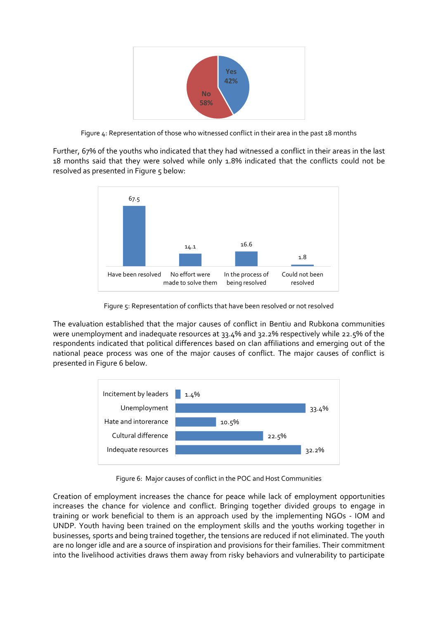

Figure 4: Representation of those who witnessed conflict in their area in the past 18 months

Further, 67% of the youths who indicated that they had witnessed a conflict in their areas in the last 18 months said that they were solved while only 1.8% indicated that the conflicts could not be resolved as presented in Figure 5 below:



Figure 5: Representation of conflicts that have been resolved or not resolved

The evaluation established that the major causes of conflict in Bentiu and Rubkona communities were unemployment and inadequate resources at 33.4% and 32.2% respectively while 22.5% of the respondents indicated that political differences based on clan affiliations and emerging out of the national peace process was one of the major causes of conflict. The major causes of conflict is presented in Figure 6 below.



Figure 6: Major causes of conflict in the POC and Host Communities

Creation of employment increases the chance for peace while lack of employment opportunities increases the chance for violence and conflict. Bringing together divided groups to engage in training or work beneficial to them is an approach used by the implementing NGOs - IOM and UNDP. Youth having been trained on the employment skills and the youths working together in businesses, sports and being trained together, the tensions are reduced if not eliminated. The youth are no longer idle and are a source of inspiration and provisions for their families. Their commitment into the livelihood activities draws them away from risky behaviors and vulnerability to participate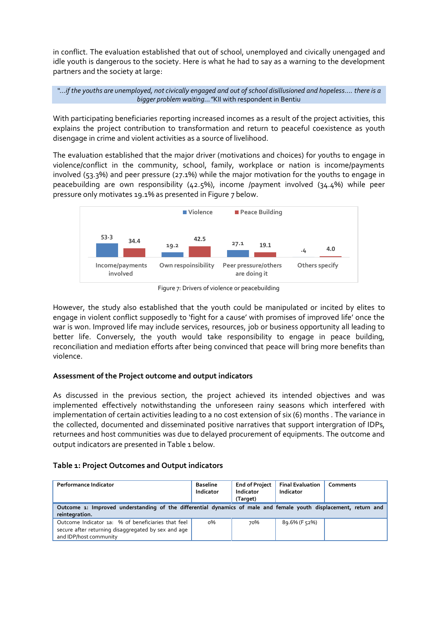in conflict. The evaluation established that out of school, unemployed and civically unengaged and idle youth is dangerous to the society. Here is what he had to say as a warning to the development partners and the society at large:

*"…if the youths are unemployed, not civically engaged and out of school disillusioned and hopeless.... there is a bigger problem waiting…"*KII with respondent in Bentiu

With participating beneficiaries reporting increased incomes as a result of the project activities, this explains the project contribution to transformation and return to peaceful coexistence as youth disengage in crime and violent activities as a source of livelihood.

The evaluation established that the major driver (motivations and choices) for youths to engage in violence/conflict in the community, school, family, workplace or nation is income/payments involved (53.3%) and peer pressure (27.1%) while the major motivation for the youths to engage in peacebuilding are own responsibility (42.5%), income /payment involved (34.4%) while peer pressure only motivates 19.1% as presented in Figure 7 below.



Figure 7: Drivers of violence or peacebuilding

However, the study also established that the youth could be manipulated or incited by elites to engage in violent conflict supposedly to 'fight for a cause' with promises of improved life' once the war is won. Improved life may include services, resources, job or business opportunity all leading to better life. Conversely, the youth would take responsibility to engage in peace building, reconciliation and mediation efforts after being convinced that peace will bring more benefits than violence.

## **Assessment of the Project outcome and output indicators**

As discussed in the previous section, the project achieved its intended objectives and was implemented effectively notwithstanding the unforeseen rainy seasons which interfered with implementation of certain activities leading to a no cost extension of six (6) months . The variance in the collected, documented and disseminated positive narratives that support intergration of IDPs, returnees and host communities was due to delayed procurement of equipments. The outcome and output indicators are presented in Table 1 below.

| Table 1: Project Outcomes and Output indicators |  |
|-------------------------------------------------|--|
|-------------------------------------------------|--|

| <b>Performance Indicator</b>                                                                                                        | <b>Baseline</b><br>Indicator | <b>End of Project</b><br>Indicator<br>(Target) | <b>Final Evaluation</b><br>Indicator | Comments |  |
|-------------------------------------------------------------------------------------------------------------------------------------|------------------------------|------------------------------------------------|--------------------------------------|----------|--|
| Outcome 1: Improved understanding of the differential dynamics of male and female youth displacement, return and<br>reintegration.  |                              |                                                |                                      |          |  |
| Outcome Indicator 1a: % of beneficiaries that feel<br>secure after returning disaggregated by sex and age<br>and IDP/host community | $0\%$                        | 70%                                            | 89.6% (F 52%)                        |          |  |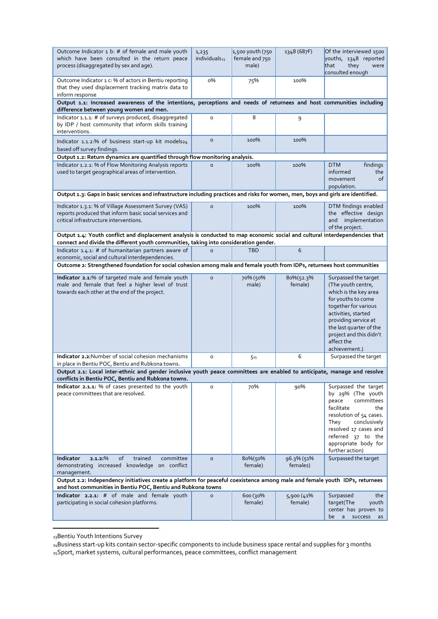| Outcome Indicator 1 b: # of female and male youth<br>which have been consulted in the return peace<br>process (disaggregated by sex and age).                                                                         | 1,235<br>individuals <sub>23</sub> | 1,500 youth (750<br>female and 750<br>male) | 1348 (687F) | Of the interviewed 1500<br>youths, 1348 reported<br>that<br>they<br>were                                                                                                                                                           |
|-----------------------------------------------------------------------------------------------------------------------------------------------------------------------------------------------------------------------|------------------------------------|---------------------------------------------|-------------|------------------------------------------------------------------------------------------------------------------------------------------------------------------------------------------------------------------------------------|
| Outcome Indicator 1 c: % of actors in Bentiu reporting<br>that they used displacement tracking matrix data to                                                                                                         | о%                                 | 75%                                         | 100%        | consulted enough                                                                                                                                                                                                                   |
| inform response<br>Output 1.1: Increased awareness of the intentions, perceptions and needs of returnees and host communities including                                                                               |                                    |                                             |             |                                                                                                                                                                                                                                    |
| difference between young women and men.                                                                                                                                                                               |                                    |                                             |             |                                                                                                                                                                                                                                    |
| Indicator 1.1.1: # of surveys produced, disaggregated<br>by IDP / host community that inform skills training<br>interventions.                                                                                        | $\circ$                            | 8                                           | 9           |                                                                                                                                                                                                                                    |
| Indicator 1.1.2:% of business start-up kit models24<br>based off survey findings.                                                                                                                                     | $\circ$                            | 100%                                        | 100%        |                                                                                                                                                                                                                                    |
| Output 1.2: Return dynamics are quantified through flow monitoring analysis.                                                                                                                                          |                                    |                                             |             |                                                                                                                                                                                                                                    |
| Indicator 1.2.1: % of Flow Monitoring Analysis reports<br>used to target geographical areas of intervention.                                                                                                          | $\circ$                            | 100%                                        | 100%        | <b>DTM</b><br>findings<br>informed<br>the<br>movement<br>οf<br>population.                                                                                                                                                         |
| Output 1.3: Gaps in basic services and infrastructure including practices and risks for women, men, boys and girls are identified.                                                                                    |                                    |                                             |             |                                                                                                                                                                                                                                    |
| Indicator 1.3.1: % of Village Assessment Survey (VAS)<br>reports produced that inform basic social services and<br>critical infrastructure interventions.                                                             | $\circ$                            | 100%                                        | 100%        | DTM findings enabled<br>the effective design<br>implementation<br>and<br>of the project.                                                                                                                                           |
| Output 1.4: Youth conflict and displacement analysis is conducted to map economic social and cultural interdependencies that<br>connect and divide the different youth communities, taking into consideration gender. |                                    |                                             |             |                                                                                                                                                                                                                                    |
| Indicator 1.4.1: # of humanitarian partners aware of<br>economic, social and cultural interdependencies.                                                                                                              | $\Omega$                           | <b>TBD</b>                                  | 6           |                                                                                                                                                                                                                                    |
| Outcome 2: Strengthened foundation for social cohesion among male and female youth from IDPs, returnees host communities                                                                                              |                                    |                                             |             |                                                                                                                                                                                                                                    |
| Indicator 2.1:% of targeted male and female youth                                                                                                                                                                     | $\circ$                            | 70% (50%                                    | 80%(52.3%   | Surpassed the target                                                                                                                                                                                                               |
| male and female that feel a higher level of trust<br>towards each other at the end of the project.                                                                                                                    |                                    | male)                                       | female)     | (The youth centre,<br>which is the key area<br>for youths to come<br>together for various<br>activities, started<br>providing service at<br>the last quarter of the<br>project and this didn't<br>affect the<br>achievement.)      |
| Indicator 2.2: Number of social cohesion mechanisms<br>in place in Bentiu POC, Bentiu and Rubkona towns.                                                                                                              | $\circ$                            | 525                                         | 6           | Surpassed the target                                                                                                                                                                                                               |
| Output 2.1: Local inter-ethnic and gender inclusive youth peace committees are enabled to anticipate, manage and resolve                                                                                              |                                    |                                             |             |                                                                                                                                                                                                                                    |
| conflicts in Bentiu POC, Bentiu and Rubkona towns.                                                                                                                                                                    |                                    |                                             |             |                                                                                                                                                                                                                                    |
| Indicator 2.1.1: % of cases presented to the youth<br>peace committees that are resolved.                                                                                                                             | $\mathsf{o}\xspace$                | 70%                                         | 90%         | Surpassed the target<br>by 29% (The youth<br>committees<br>peace<br>facilitate<br>the<br>resolution of 54 cases.<br>conclusively<br>They<br>resolved 17 cases and<br>referred 37 to the<br>appropriate body for<br>further action) |
| of<br><b>Indicator</b><br>$2.1.2$ :%<br>trained<br>committee                                                                                                                                                          | $\mathsf{o}$                       | 80%(50%                                     | 96.3% (51%  | Surpassed the target                                                                                                                                                                                                               |
| demonstrating increased knowledge on conflict<br>management.                                                                                                                                                          |                                    | female)                                     | females)    |                                                                                                                                                                                                                                    |
| Output 2.2: Independency initiatives create a platform for peaceful coexistence among male and female youth IDPs, returnees                                                                                           |                                    |                                             |             |                                                                                                                                                                                                                                    |
| and host communities in Bentiu POC, Bentiu and Rubkona towns<br>Indicator 2.2.1: # of male and female youth                                                                                                           | $\circ$                            | 600 (30%                                    | 5,900 (41%  | Surpassed<br>the                                                                                                                                                                                                                   |
| participating in social cohesion platforms.                                                                                                                                                                           |                                    | female)                                     | female)     | target(The<br>youth<br>center has proven to<br>be<br>$\mathsf{a}$<br>success<br>as                                                                                                                                                 |

<sup>23</sup>Bentiu Youth Intentions Survey

<sup>24</sup>Business start-up kits contain sector-specific components to include business space rental and supplies for 3 months 25Sport, market systems, cultural performances, peace committees, conflict management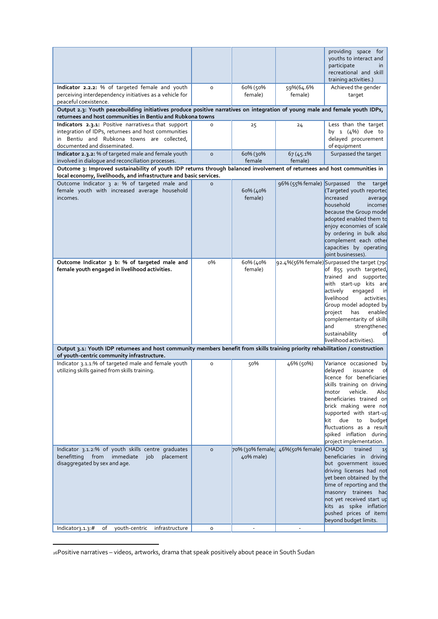|                                                                                                                                                                                           |                     |                     |                                   | providing space for<br>youths to interact and<br>participate<br>in<br>recreational and skill<br>training activities.)                                                                                                                                                                                             |
|-------------------------------------------------------------------------------------------------------------------------------------------------------------------------------------------|---------------------|---------------------|-----------------------------------|-------------------------------------------------------------------------------------------------------------------------------------------------------------------------------------------------------------------------------------------------------------------------------------------------------------------|
| Indicator 2.2.2: % of targeted female and youth<br>perceiving interdependency initiatives as a vehicle for<br>peaceful coexistence.                                                       | $\circ$             | 60% (50%<br>female) | 59%(64.6%<br>female)              | Achieved the gender<br>target                                                                                                                                                                                                                                                                                     |
| Output 2.3: Youth peacebuilding initiatives produce positive narratives on integration of young male and female youth IDPs,<br>returnees and host communities in Bentiu and Rubkona towns |                     |                     |                                   |                                                                                                                                                                                                                                                                                                                   |
| Indicators 2.3.1: Positive narratives <sub>26</sub> that support                                                                                                                          | O                   | 25                  | 24                                | Less than the target                                                                                                                                                                                                                                                                                              |
| integration of IDPs, returnees and host communities<br>in Bentiu and Rubkona towns are collected,<br>documented and disseminated.                                                         |                     |                     |                                   | by $1 \frac{4\%}{2}$ due to<br>delayed procurement<br>of equipment                                                                                                                                                                                                                                                |
| Indicator 2.3.2: % of targeted male and female youth<br>involved in dialogue and reconciliation processes.                                                                                | $\circ$             | 60% (30%<br>female  | 67 (45.1%)<br>female)             | Surpassed the target                                                                                                                                                                                                                                                                                              |
| Outcome 3: Improved sustainability of youth IDP returns through balanced involvement of returnees and host communities in                                                                 |                     |                     |                                   |                                                                                                                                                                                                                                                                                                                   |
| local economy, livelihoods, and infrastructure and basic services.<br>Outcome Indicator 3 a: % of targeted male and                                                                       | $\circ$             |                     | 96% (55% female) Surpassed        | the<br>target                                                                                                                                                                                                                                                                                                     |
| female youth with increased average household<br>incomes.                                                                                                                                 |                     | 60% (40%<br>female) |                                   | (Targeted youth reported<br>increased<br>average<br>household<br>incomes<br>because the Group model<br>adopted enabled them to<br>enjoy economies of scale<br>by ordering in bulk also<br>complement each other<br>capacities by operating<br>joint businesses).                                                  |
| Outcome Indicator 3 b: % of targeted male and<br>female youth engaged in livelihood activities.                                                                                           | $0\%$               | 60% (40%<br>female) |                                   | 92.4%(56% female)Surpassed the target (790<br>of 855 youth targeted,                                                                                                                                                                                                                                              |
|                                                                                                                                                                                           |                     |                     |                                   | trained and supported<br>with start-up kits are<br>actively<br>engaged<br>in<br>livelihood<br>activities.<br>Group model adopted by<br>project<br>enabled<br>has<br>complementarity of skills<br>and<br>strengthened<br>sustainability<br>οf<br>livelihood activities).                                           |
| Output 3.1: Youth IDP returnees and host community members benefit from skills training priority rehabilitation / construction<br>of youth-centric community infrastructure.              |                     |                     |                                   |                                                                                                                                                                                                                                                                                                                   |
| Indicator 3.1.1:% of targeted male and female youth                                                                                                                                       | $\mathsf{o}\xspace$ | 50%                 | 46% (50%)                         | Variance occasioned by                                                                                                                                                                                                                                                                                            |
| utilizing skills gained from skills training.                                                                                                                                             |                     |                     |                                   | delayed<br>issuance<br>of<br>licence for beneficiaries<br>skills training on driving<br>motor<br>vehicle.<br>Also<br>beneficiaries trained on<br>brick making were not<br>supported with start-up<br>kit<br>due<br>to<br>budget<br>fluctuations as a result<br>spiked inflation during<br>project implementation. |
| Indicator 3.1.2:% of youth skills centre graduates<br>benefitting<br>from<br>immediate<br>placement<br>job                                                                                | $\circ$             | 40% male)           | 70% (30% female; 46% (50% female) | <b>CHADO</b><br>trained<br>15<br>beneficiaries in driving                                                                                                                                                                                                                                                         |
| disaggregated by sex and age.                                                                                                                                                             |                     |                     |                                   | but government issued<br>driving licenses had not<br>yet been obtained by the<br>time of reporting and the<br>masonry trainees had<br>not yet received start up<br>kits as spike inflation<br>pushed prices of items<br>beyond budget limits.                                                                     |
| youth-centric infrastructure<br>Indicator <sub>3</sub> .1.3:#<br>of                                                                                                                       | $\mathsf{o}\xspace$ | ÷.                  | ÷.                                |                                                                                                                                                                                                                                                                                                                   |

<sup>26</sup>Positive narratives – videos, artworks, drama that speak positively about peace in South Sudan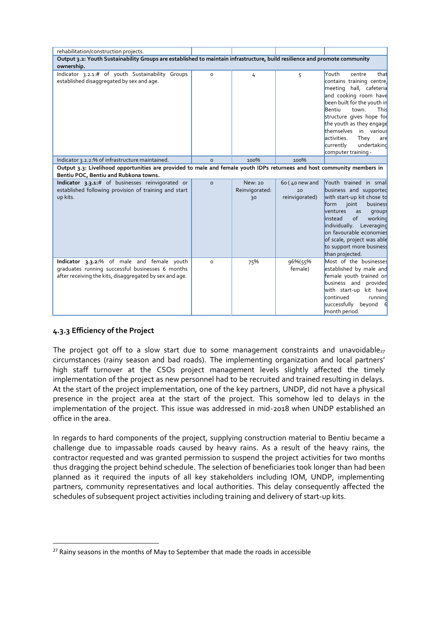| rehabilitation/construction projects.                                                                                                                            |          |                                        |                                        |                                                                                                                                                                                                                                                                                                                                         |
|------------------------------------------------------------------------------------------------------------------------------------------------------------------|----------|----------------------------------------|----------------------------------------|-----------------------------------------------------------------------------------------------------------------------------------------------------------------------------------------------------------------------------------------------------------------------------------------------------------------------------------------|
| Output 3.2: Youth Sustainability Groups are established to maintain infrastructure, build resilience and promote community<br>ownership.                         |          |                                        |                                        |                                                                                                                                                                                                                                                                                                                                         |
| Indicator 3.2.1:# of youth Sustainability Groups<br>established disaggregated by sex and age.                                                                    | $\circ$  | 4                                      | 5                                      | Youth<br>centre<br>that<br>contains training centre,<br>meeting hall, cafeteria<br>and cooking room have<br>been built for the youth in<br>Bentiu<br>town.<br>This<br>structure gives hope for<br>the youth as they engage<br>themselves<br>in various<br>activities.<br>They<br>are<br>currently<br>undertaking<br>computer training - |
| Indicator 3.2.2:% of infrastructure maintained.                                                                                                                  | $\Omega$ | 100%                                   | 100%                                   |                                                                                                                                                                                                                                                                                                                                         |
| Output 3.3: Livelihood opportunities are provided to male and female youth IDPs returnees and host community members in<br>Bentiu POC, Bentiu and Rubkona towns. |          |                                        |                                        |                                                                                                                                                                                                                                                                                                                                         |
| Indicator 3.3.1:# of businesses reinvigorated or<br>established following provision of training and start<br>up kits.                                            | $\circ$  | <b>New: 20</b><br>Reinvigorated:<br>30 | 6o (40 new and<br>20<br>reinvigorated) | Youth trained in smal<br>business and supported<br>with start-up kit chose to<br>joint<br>form<br>business<br>ventures<br>groups<br>as<br>of<br>working<br>instead<br>individually. Leveraging<br>on favourable economies<br>of scale, project was able<br>to support more business<br>than projected.                                  |
| Indicator 3.3.2:% of male and female youth<br>graduates running successful businesses 6 months<br>after receiving the kits, disaggregated by sex and age.        | $\Omega$ | 75%                                    | 96%(55%<br>female)                     | Most of the businesses<br>established by male and<br>female youth trained on<br>business and provided<br>with start-up kit have<br>continued<br>running<br>successfully<br>beyond 6<br>month period.                                                                                                                                    |

## **4.3.3 Efficiency of the Project**

The project got off to a slow start due to some management constraints and unavoidable $_{27}$ circumstances (rainy season and bad roads). The implementing organization and local partners' high staff turnover at the CSOs project management levels slightly affected the timely implementation of the project as new personnel had to be recruited and trained resulting in delays. At the start of the project implementation, one of the key partners, UNDP, did not have a physical presence in the project area at the start of the project. This somehow led to delays in the implementation of the project. This issue was addressed in mid-2018 when UNDP established an office in the area.

In regards to hard components of the project, supplying construction material to Bentiu became a challenge due to impassable roads caused by heavy rains. As a result of the heavy rains, the contractor requested and was granted permission to suspend the project activities for two months thus dragging the project behind schedule. The selection of beneficiaries took longer than had been planned as it required the inputs of all key stakeholders including IOM, UNDP, implementing partners, community representatives and local authorities. This delay consequently affected the schedules of subsequent project activities including training and delivery of start-up kits.

 $27$  Rainy seasons in the months of May to September that made the roads in accessible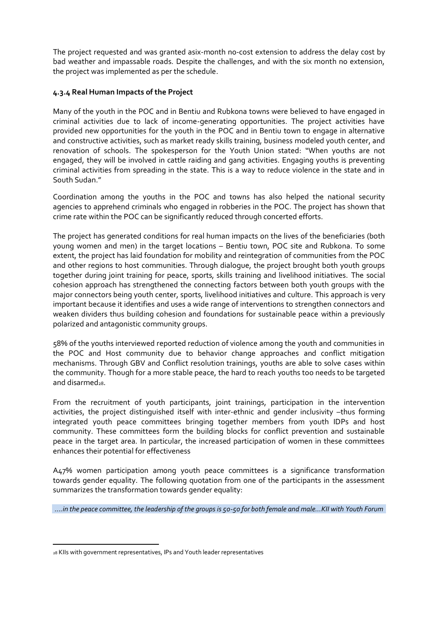The project requested and was granted asix-month no-cost extension to address the delay cost by bad weather and impassable roads. Despite the challenges, and with the six month no extension, the project was implemented as per the schedule.

## **4.3.4 Real Human Impacts of the Project**

Many of the youth in the POC and in Bentiu and Rubkona towns were believed to have engaged in criminal activities due to lack of income-generating opportunities. The project activities have provided new opportunities for the youth in the POC and in Bentiu town to engage in alternative and constructive activities, such as market ready skills training, business modeled youth center, and renovation of schools. The spokesperson for the Youth Union stated: "When youths are not engaged, they will be involved in cattle raiding and gang activities. Engaging youths is preventing criminal activities from spreading in the state. This is a way to reduce violence in the state and in South Sudan."

Coordination among the youths in the POC and towns has also helped the national security agencies to apprehend criminals who engaged in robberies in the POC. The project has shown that crime rate within the POC can be significantly reduced through concerted efforts.

The project has generated conditions for real human impacts on the lives of the beneficiaries (both young women and men) in the target locations – Bentiu town, POC site and Rubkona. To some extent, the project has laid foundation for mobility and reintegration of communities from the POC and other regions to host communities. Through dialogue, the project brought both youth groups together during joint training for peace, sports, skills training and livelihood initiatives. The social cohesion approach has strengthened the connecting factors between both youth groups with the major connectors being youth center, sports, livelihood initiatives and culture. This approach is very important because it identifies and uses a wide range of interventions to strengthen connectors and weaken dividers thus building cohesion and foundations for sustainable peace within a previously polarized and antagonistic community groups.

58% of the youths interviewed reported reduction of violence among the youth and communities in the POC and Host community due to behavior change approaches and conflict mitigation mechanisms. Through GBV and Conflict resolution trainings, youths are able to solve cases within the community. Though for a more stable peace, the hard to reach youths too needs to be targeted and disarmed $28$ .

From the recruitment of youth participants, joint trainings, participation in the intervention activities, the project distinguished itself with inter-ethnic and gender inclusivity –thus forming integrated youth peace committees bringing together members from youth IDPs and host community. These committees form the building blocks for conflict prevention and sustainable peace in the target area. In particular, the increased participation of women in these committees enhances their potential for effectiveness

A47% women participation among youth peace committees is a significance transformation towards gender equality. The following quotation from one of the participants in the assessment summarizes the transformation towards gender equality:

*….in the peace committee, the leadership of the groups is 50-50 for both female and male…KII with Youth Forum*

<sup>28</sup> KIIs with government representatives, IPs and Youth leader representatives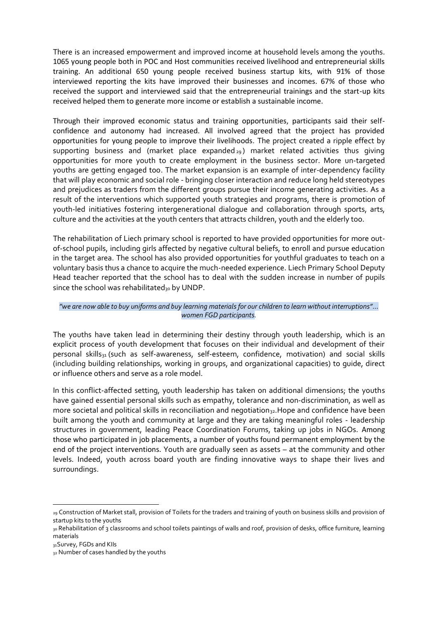There is an increased empowerment and improved income at household levels among the youths. 1065 young people both in POC and Host communities received livelihood and entrepreneurial skills training. An additional 650 young people received business startup kits, with 91% of those interviewed reporting the kits have improved their businesses and incomes. 67% of those who received the support and interviewed said that the entrepreneurial trainings and the start-up kits received helped them to generate more income or establish a sustainable income.

Through their improved economic status and training opportunities, participants said their selfconfidence and autonomy had increased. All involved agreed that the project has provided opportunities for young people to improve their livelihoods. The project created a ripple effect by supporting business and (market place expanded  $_{29}$ ) market related activities thus giving opportunities for more youth to create employment in the business sector. More un-targeted youths are getting engaged too. The market expansion is an example of inter-dependency facility that will play economic and social role - bringing closer interaction and reduce long held stereotypes and prejudices as traders from the different groups pursue their income generating activities. As a result of the interventions which supported youth strategies and programs, there is promotion of youth-led initiatives fostering intergenerational dialogue and collaboration through sports, arts, culture and the activities at the youth centers that attracts children, youth and the elderly too.

The rehabilitation of Liech primary school is reported to have provided opportunities for more outof-school pupils, including girls affected by negative cultural beliefs, to enroll and pursue education in the target area. The school has also provided opportunities for youthful graduates to teach on a voluntary basis thus a chance to acquire the much-needed experience. Liech Primary School Deputy Head teacher reported that the school has to deal with the sudden increase in number of pupils since the school was rehabilitated<sub>30</sub> by UNDP.

### *"we are now able to buy uniforms and buy learning materials for our children to learn without interruptions"… women FGD participants.*

The youths have taken lead in determining their destiny through youth leadership, which is an explicit process of youth development that focuses on their individual and development of their personal skills<sub>31</sub> (such as self-awareness, self-esteem, confidence, motivation) and social skills (including building relationships, working in groups, and organizational capacities) to guide, direct or influence others and serve as a role model.

In this conflict-affected setting, youth leadership has taken on additional dimensions; the youths have gained essential personal skills such as empathy, tolerance and non-discrimination, as well as more societal and political skills in reconciliation and negotiation<sub>32</sub>. Hope and confidence have been built among the youth and community at large and they are taking meaningful roles - leadership structures in government, leading Peace Coordination Forums, taking up jobs in NGOs. Among those who participated in job placements, a number of youths found permanent employment by the end of the project interventions. Youth are gradually seen as assets – at the community and other levels. Indeed, youth across board youth are finding innovative ways to shape their lives and surroundings.

<sup>29</sup> Construction of Market stall, provision of Toilets for the traders and training of youth on business skills and provision of startup kits to the youths

<sup>30</sup> Rehabilitation of 3 classrooms and school toilets paintings of walls and roof, provision of desks, office furniture, learning materials

<sup>31</sup>Survey, FGDs and KIIs

<sup>32</sup> Number of cases handled by the youths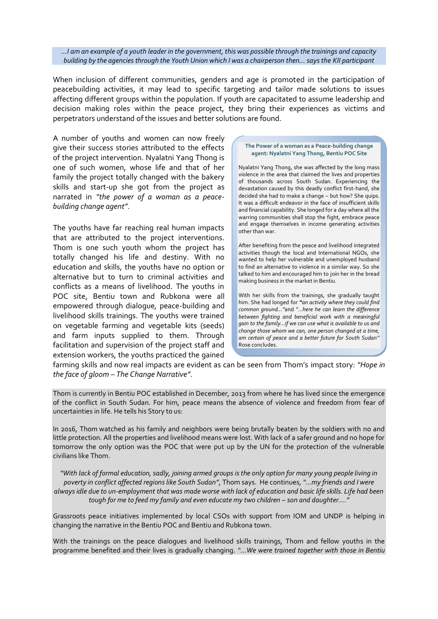#### *…I am an example of a youth leader in the government, this was possible through the trainings and capacity building by the agencies through the Youth Union which I was a chairperson then… says the KII participant*

When inclusion of different communities, genders and age is promoted in the participation of peacebuilding activities, it may lead to specific targeting and tailor made solutions to issues affecting different groups within the population. If youth are capacitated to assume leadership and decision making roles within the peace project, they bring their experiences as victims and perpetrators understand of the issues and better solutions are found.

A number of youths and women can now freely give their success stories attributed to the effects of the project intervention. Nyalatni Yang Thong is one of such women, whose life and that of her family the project totally changed with the bakery skills and start-up she got from the project as narrated in *"the power of a woman as a peacebuilding change agent"*.

The youths have far reaching real human impacts that are attributed to the project interventions. Thom is one such youth whom the project has totally changed his life and destiny. With no education and skills, the youths have no option or alternative but to turn to criminal activities and conflicts as a means of livelihood. The youths in POC site, Bentiu town and Rubkona were all empowered through dialogue, peace-building and livelihood skills trainings. The youths were trained on vegetable farming and vegetable kits (seeds) and farm inputs supplied to them. Through facilitation and supervision of the project staff and extension workers, the youths practiced the gained

#### **The Power of a woman as a Peace-building change agent: Nyalatni Yang Thong, Bentiu POC Site**

Nyalatni Yang Thong, she was affected by the long mass violence in the area that claimed the lives and properties of thousands across South Sudan. Experiencing the devastation caused by this deadly conflict first-hand, she decided she had to make a change – but how? She quips. It was a difficult endeavor in the face of insufficient skills and financial capability. She longed for a day where all the warring communities shall stop the fight, embrace peace and engage themselves in income generating activities other than war.

After benefiting from the peace and livelihood integrated activities though the local and International NGOs, she wanted to help her vulnerable and unemployed husband to find an alternative to violence in a similar way. So she talked to him and encouraged him to join her in the bread making business in the market in Bentiu.

With her skills from the trainings, she gradually taught him. She had longed for *"an activity where they could find common ground…"*and *"…here he can learn the difference between fighting and beneficial work with a meaningful gain to the family…if we can use what is available to us and change those whom we can, one person changed at a time, am certain of peace and a better future for South Sudan''* Rose concludes.

farming skills and now real impacts are evident as can be seen from Thom's impact story: *"Hope in the face of gloom – The Change Narrative"*.

Thom is currently in Bentiu POC established in December, 2013 from where he has lived since the emergence of the conflict in South Sudan. For him, peace means the absence of violence and freedom from fear of uncertainties in life. He tells his Story to us:

In 2016, Thom watched as his family and neighbors were being brutally beaten by the soldiers with no and little protection. All the properties and livelihood means were lost. With lack of a safer ground and no hope for tomorrow the only option was the POC that were put up by the UN for the protection of the vulnerable civilians like Thom.

*"With lack of formal education, sadly, joining armed groups is the only option for many young people living in poverty in conflict affected regions like South Sudan"*, Thom says. He continues, *"…my friends and I were always idle due to un-employment that was made worse with lack of education and basic life skills. Life had been tough for me to feed my family and even educate my two children – son and daughter…."*

Grassroots peace initiatives implemented by local CSOs with support from IOM and UNDP is helping in changing the narrative in the Bentiu POC and Bentiu and Rubkona town.

With the trainings on the peace dialogues and livelihood skills trainings, Thom and fellow youths in the programme benefited and their lives is gradually changing. *"…We were trained together with those in Bentiu*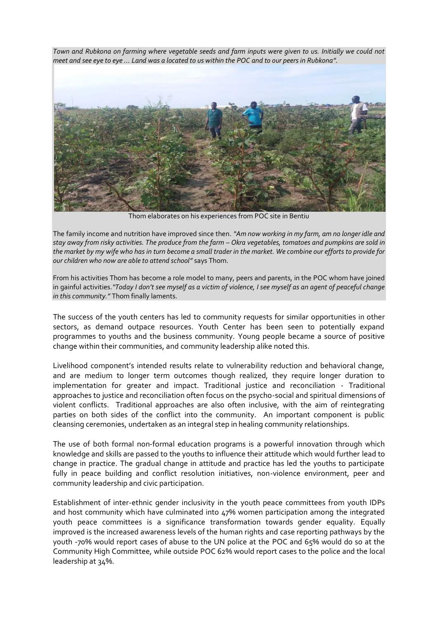*Town and Rubkona on farming where vegetable seeds and farm inputs were given to us. Initially we could not meet and see eye to eye ... Land was a located to us within the POC and to our peers in Rubkona".* 



Thom elaborates on his experiences from POC site in Bentiu

The family income and nutrition have improved since then. *"Am now working in my farm, am no longer idle and stay away from risky activities. The produce from the farm – Okra vegetables, tomatoes and pumpkins are sold in the market by my wife who has in turn become a small trader in the market. We combine our efforts to provide for our children who now are able to attend school"* says Thom.

From his activities Thom has become a role model to many, peers and parents, in the POC whom have joined in gainful activities.*"Today I don't see myself as a victim of violence, I see myself as an agent of peaceful change in this community."* Thom finally laments.

The success of the youth centers has led to community requests for similar opportunities in other sectors, as demand outpace resources. Youth Center has been seen to potentially expand programmes to youths and the business community. Young people became a source of positive change within their communities, and community leadership alike noted this.

Livelihood component's intended results relate to vulnerability reduction and behavioral change, and are medium to longer term outcomes though realized, they require longer duration to implementation for greater and impact. Traditional justice and reconciliation - Traditional approaches to justice and reconciliation often focus on the psycho-social and spiritual dimensions of violent conflicts. Traditional approaches are also often inclusive, with the aim of reintegrating parties on both sides of the conflict into the community. An important component is public cleansing ceremonies, undertaken as an integral step in healing community relationships.

The use of both formal non-formal education programs is a powerful innovation through which knowledge and skills are passed to the youths to influence their attitude which would further lead to change in practice. The gradual change in attitude and practice has led the youths to participate fully in peace building and conflict resolution initiatives, non-violence environment, peer and community leadership and civic participation.

Establishment of inter-ethnic gender inclusivity in the youth peace committees from youth IDPs and host community which have culminated into 47% women participation among the integrated youth peace committees is a significance transformation towards gender equality. Equally improved is the increased awareness levels of the human rights and case reporting pathways by the youth -70% would report cases of abuse to the UN police at the POC and 65% would do so at the Community High Committee, while outside POC 62% would report cases to the police and the local leadership at 34%.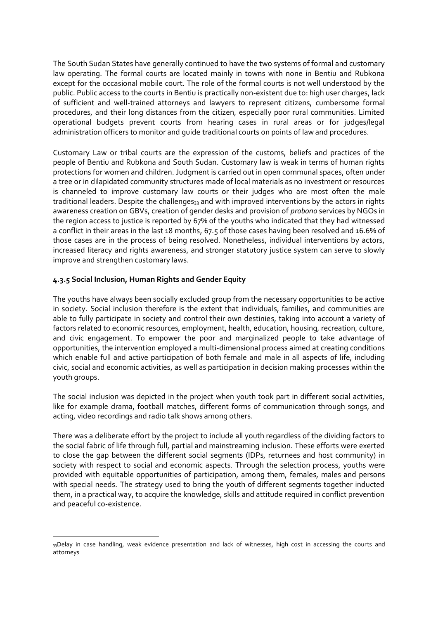The South Sudan States have generally continued to have the two systems of formal and customary law operating. The formal courts are located mainly in towns with none in Bentiu and Rubkona except for the occasional mobile court. The role of the formal courts is not well understood by the public. Public access to the courts in Bentiu is practically non-existent due to: high user charges, lack of sufficient and well-trained attorneys and lawyers to represent citizens, cumbersome formal procedures, and their long distances from the citizen, especially poor rural communities. Limited operational budgets prevent courts from hearing cases in rural areas or for judges/legal administration officers to monitor and guide traditional courts on points of law and procedures.

Customary Law or tribal courts are the expression of the customs, beliefs and practices of the people of Bentiu and Rubkona and South Sudan. Customary law is weak in terms of human rights protections for women and children. Judgment is carried out in open communal spaces, often under a tree or in dilapidated community structures made of local materials as no investment or resources is channeled to improve customary law courts or their judges who are most often the male traditional leaders. Despite the challenges<sub>33</sub> and with improved interventions by the actors in rights awareness creation on GBVs, creation of gender desks and provision of *probono* services by NGOs in the region access to justice is reported by 67% of the youths who indicated that they had witnessed a conflict in their areas in the last 18 months, 67.5 of those cases having been resolved and 16.6% of those cases are in the process of being resolved. Nonetheless, individual interventions by actors, increased literacy and rights awareness, and stronger statutory justice system can serve to slowly improve and strengthen customary laws.

### **4.3.5 Social Inclusion, Human Rights and Gender Equity**

The youths have always been socially excluded group from the necessary opportunities to be active in society. Social inclusion therefore is the extent that individuals, families, and communities are able to fully participate in society and control their own destinies, taking into account a variety of factors related to economic resources, employment, health, education, housing, recreation, culture, and civic engagement. To empower the poor and marginalized people to take advantage of opportunities, the intervention employed a multi-dimensional process aimed at creating conditions which enable full and active participation of both female and male in all aspects of life, including civic, social and economic activities, as well as participation in decision making processes within the youth groups.

The social inclusion was depicted in the project when youth took part in different social activities, like for example drama, football matches, different forms of communication through songs, and acting, video recordings and radio talk shows among others.

There was a deliberate effort by the project to include all youth regardless of the dividing factors to the social fabric of life through full, partial and mainstreaming inclusion. These efforts were exerted to close the gap between the different social segments (IDPs, returnees and host community) in society with respect to social and economic aspects. Through the selection process, youths were provided with equitable opportunities of participation, among them, females, males and persons with special needs. The strategy used to bring the youth of different segments together inducted them, in a practical way, to acquire the knowledge, skills and attitude required in conflict prevention and peaceful co-existence.

<sup>33</sup>Delay in case handling, weak evidence presentation and lack of witnesses, high cost in accessing the courts and attorneys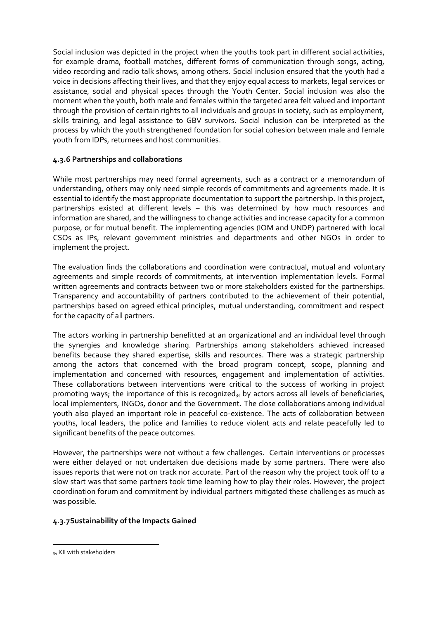Social inclusion was depicted in the project when the youths took part in different social activities, for example drama, football matches, different forms of communication through songs, acting, video recording and radio talk shows, among others. Social inclusion ensured that the youth had a voice in decisions affecting their lives, and that they enjoy equal access to markets, legal services or assistance, social and physical spaces through the Youth Center. Social inclusion was also the moment when the youth, both male and females within the targeted area felt valued and important through the provision of certain rights to all individuals and groups in society, such as employment, skills training, and legal assistance to GBV survivors. Social inclusion can be interpreted as the process by which the youth strengthened foundation for social cohesion between male and female youth from IDPs, returnees and host communities.

## **4.3.6 Partnerships and collaborations**

While most partnerships may need formal agreements, such as a contract or a memorandum of understanding, others may only need simple records of commitments and agreements made. It is essential to identify the most appropriate documentation to support the partnership. In this project, partnerships existed at different levels – this was determined by how much resources and information are shared, and the willingness to change activities and increase capacity for a common purpose, or for mutual benefit. The implementing agencies (IOM and UNDP) partnered with local CSOs as IPs, relevant government ministries and departments and other NGOs in order to implement the project.

The evaluation finds the collaborations and coordination were contractual, mutual and voluntary agreements and simple records of commitments, at intervention implementation levels. Formal written agreements and contracts between two or more stakeholders existed for the partnerships. Transparency and accountability of partners contributed to the achievement of their potential, partnerships based on agreed ethical principles, mutual understanding, commitment and respect for the capacity of all partners.

The actors working in partnership benefitted at an organizational and an individual level through the synergies and knowledge sharing. Partnerships among stakeholders achieved increased benefits because they shared expertise, skills and resources. There was a strategic partnership among the actors that concerned with the broad program concept, scope, planning and implementation and concerned with resources, engagement and implementation of activities. These collaborations between interventions were critical to the success of working in project promoting ways; the importance of this is recognized<sub>34</sub> by actors across all levels of beneficiaries, local implementers, INGOs, donor and the Government. The close collaborations among individual youth also played an important role in peaceful co-existence. The acts of collaboration between youths, local leaders, the police and families to reduce violent acts and relate peacefully led to significant benefits of the peace outcomes.

However, the partnerships were not without a few challenges. Certain interventions or processes were either delayed or not undertaken due decisions made by some partners. There were also issues reports that were not on track nor accurate. Part of the reason why the project took off to a slow start was that some partners took time learning how to play their roles. However, the project coordination forum and commitment by individual partners mitigated these challenges as much as was possible.

## **4.3.7Sustainability of the Impacts Gained**

<sup>34</sup> KII with stakeholders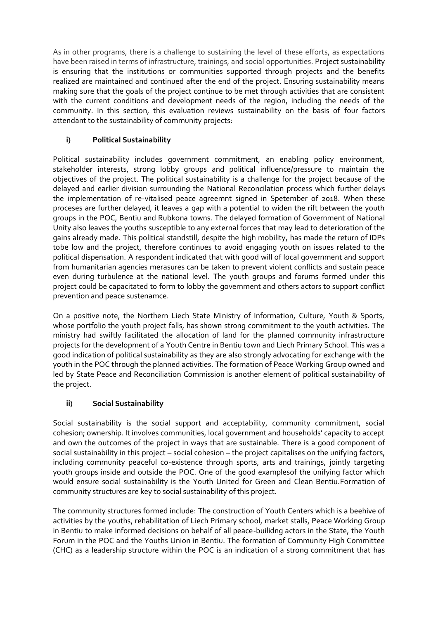As in other programs, there is a challenge to sustaining the level of these efforts, as expectations have been raised in terms of infrastructure, trainings, and social opportunities. Project sustainability is ensuring that the institutions or communities supported through projects and the benefits realized are maintained and continued after the end of the project. Ensuring sustainability means making sure that the goals of the project continue to be met through activities that are consistent with the current conditions and development needs of the region, including the needs of the community. In this section, this evaluation reviews sustainability on the basis of four factors attendant to the sustainability of community projects:

## **i) Political Sustainability**

Political sustainability includes government commitment, an enabling policy environment, stakeholder interests, strong lobby groups and political influence/pressure to maintain the objectives of the project. The political sustainability is a challenge for the project because of the delayed and earlier division surrounding the National Reconcilation process which further delays the implementation of re-vitalised peace agreemnt signed in Spetember of 2018. When these proceses are further delayed, it leaves a gap with a potential to widen the rift between the youth groups in the POC, Bentiu and Rubkona towns. The delayed formation of Government of National Unity also leaves the youths susceptible to any external forces that may lead to deterioration of the gains already made. This political standstill, despite the high mobility, has made the return of IDPs tobe low and the project, therefore continues to avoid engaging youth on issues related to the political dispensation. A respondent indicated that with good will of local government and support from humanitarian agencies merasures can be taken to prevent violent conflicts and sustain peace even during turbulence at the national level. The youth groups and forums formed under this project could be capacitated to form to lobby the government and others actors to support conflict prevention and peace sustenamce.

On a positive note, the Northern Liech State Ministry of Information, Culture, Youth & Sports, whose portfolio the youth project falls, has shown strong commitment to the youth activities. The ministry had swiftly facilitated the allocation of land for the planned community infrastructure projects for the development of a Youth Centre in Bentiu town and Liech Primary School. This was a good indication of political sustainability as they are also strongly advocating for exchange with the youth in the POC through the planned activities. The formation of Peace Working Group owned and led by State Peace and Reconciliation Commission is another element of political sustainability of the project.

## **ii) Social Sustainability**

Social sustainability is the social support and acceptability, community commitment, social cohesion; ownership. It involves communities, local government and households' capacity to accept and own the outcomes of the project in ways that are sustainable. There is a good component of social sustainability in this project – social cohesion – the project capitalises on the unifying factors, including community peaceful co-existence through sports, arts and trainings, jointly targeting youth groups inside and outside the POC. One of the good examplesof the unifying factor which would ensure social sustainability is the Youth United for Green and Clean Bentiu.Formation of community structures are key to social sustainability of this project.

The community structures formed include: The construction of Youth Centers which is a beehive of activities by the youths, rehabilitation of Liech Primary school, market stalls, Peace Working Group in Bentiu to make informed decisions on behalf of all peace-builidng actors in the State, the Youth Forum in the POC and the Youths Union in Bentiu. The formation of Community High Committee (CHC) as a leadership structure within the POC is an indication of a strong commitment that has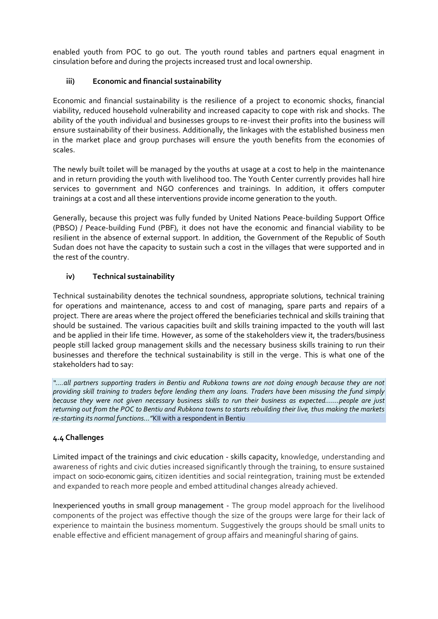enabled youth from POC to go out. The youth round tables and partners equal enagment in cinsulation before and during the projects increased trust and local ownership.

## **iii) Economic and financial sustainability**

Economic and financial sustainability is the resilience of a project to economic shocks, financial viability, reduced household vulnerability and increased capacity to cope with risk and shocks. The ability of the youth individual and businesses groups to re-invest their profits into the business will ensure sustainability of their business. Additionally, the linkages with the established business men in the market place and group purchases will ensure the youth benefits from the economies of scales.

The newly built toilet will be managed by the youths at usage at a cost to help in the maintenance and in return providing the youth with livelihood too. The Youth Center currently provides hall hire services to government and NGO conferences and trainings. In addition, it offers computer trainings at a cost and all these interventions provide income generation to the youth.

Generally, because this project was fully funded by United Nations Peace-building Support Office (PBSO) / Peace-building Fund (PBF), it does not have the economic and financial viability to be resilient in the absence of external support. In addition, the Government of the Republic of South Sudan does not have the capacity to sustain such a cost in the villages that were supported and in the rest of the country.

## **iv) Technical sustainability**

Technical sustainability denotes the technical soundness, appropriate solutions, technical training for operations and maintenance, access to and cost of managing, spare parts and repairs of a project. There are areas where the project offered the beneficiaries technical and skills training that should be sustained. The various capacities built and skills training impacted to the youth will last and be applied in their life time. However, as some of the stakeholders view it, the traders/business people still lacked group management skills and the necessary business skills training to run their businesses and therefore the technical sustainability is still in the verge. This is what one of the stakeholders had to say:

*"….all partners supporting traders in Bentiu and Rubkona towns are not doing enough because they are not providing skill training to traders before lending them any loans. Traders have been misusing the fund simply because they were not given necessary business skills to run their business as expected…….people are just returning out from the POC to Bentiu and Rubkona towns to starts rebuilding their live, thus making the markets re-starting its normal functions…"*KII with a respondent in Bentiu

## **4.4 Challenges**

Limited impact of the trainings and civic education - skills capacity, knowledge, understanding and awareness of rights and civic duties increased significantly through the training, to ensure sustained impact on socio-economic gains, citizen identities and social reintegration, training must be extended and expanded to reach more people and embed attitudinal changes already achieved.

Inexperienced youths in small group management - The group model approach for the livelihood components of the project was effective though the size of the groups were large for their lack of experience to maintain the business momentum. Suggestively the groups should be small units to enable effective and efficient management of group affairs and meaningful sharing of gains.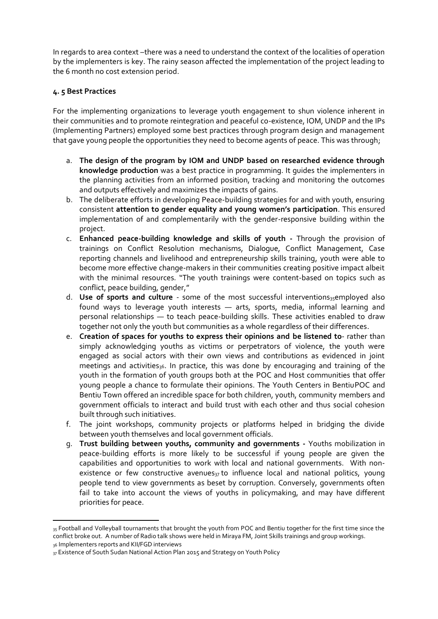In regards to area context-there was a need to understand the context of the localities of operation by the implementers is key. The rainy season affected the implementation of the project leading to the 6 month no cost extension period.

## **4. 5 Best Practices**

For the implementing organizations to leverage youth engagement to shun violence inherent in their communities and to promote reintegration and peaceful co-existence, IOM, UNDP and the IPs (Implementing Partners) employed some best practices through program design and management that gave young people the opportunities they need to become agents of peace. This was through;

- a. **The design of the program by IOM and UNDP based on researched evidence through knowledge production** was a best practice in programming. It guides the implementers in the planning activities from an informed position, tracking and monitoring the outcomes and outputs effectively and maximizes the impacts of gains.
- b. The deliberate efforts in developing Peace-building strategies for and with youth, ensuring consistent **attention to gender equality and young women's participation**. This ensured implementation of and complementarily with the gender-responsive building within the project.
- c. **Enhanced peace-building knowledge and skills of youth -** Through the provision of trainings on Conflict Resolution mechanisms, Dialogue, Conflict Management, Case reporting channels and livelihood and entrepreneurship skills training, youth were able to become more effective change-makers in their communities creating positive impact albeit with the minimal resources. "The youth trainings were content-based on topics such as conflict, peace building, gender,"
- d. **Use of sports and culture** some of the most successful interventions<sub>35</sub>employed also found ways to leverage youth interests — arts, sports, media, informal learning and personal relationships — to teach peace-building skills. These activities enabled to draw together not only the youth but communities as a whole regardless of their differences.
- e. **Creation of spaces for youths to express their opinions and be listened to** rather than simply acknowledging youths as victims or perpetrators of violence, the youth were engaged as social actors with their own views and contributions as evidenced in joint meetings and activities<sub>36</sub>. In practice, this was done by encouraging and training of the youth in the formation of youth groups both at the POC and Host communities that offer young people a chance to formulate their opinions. The Youth Centers in BentiuPOC and Bentiu Town offered an incredible space for both children, youth, community members and government officials to interact and build trust with each other and thus social cohesion built through such initiatives.
- f. The joint workshops, community projects or platforms helped in bridging the divide between youth themselves and local government officials.
- g. **Trust building between youths, community and governments -** Youths mobilization in peace-building efforts is more likely to be successful if young people are given the capabilities and opportunities to work with local and national governments. With nonexistence or few constructive avenues $_{37}$  to influence local and national politics, young people tend to view governments as beset by corruption. Conversely, governments often fail to take into account the views of youths in policymaking, and may have different priorities for peace.

<sup>35</sup> Football and Volleyball tournaments that brought the youth from POC and Bentiu together for the first time since the conflict broke out. A number of Radio talk shows were held in Miraya FM, Joint Skills trainings and group workings. 36 Implementers reports and KII/FGD interviews

<sup>37</sup> Existence of South Sudan National Action Plan 2015 and Strategy on Youth Policy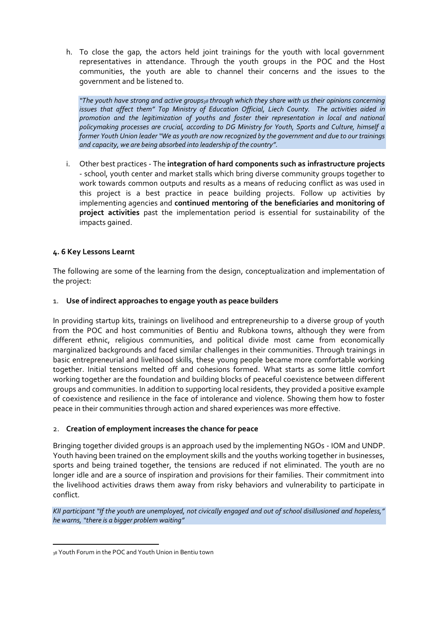h. To close the gap, the actors held joint trainings for the youth with local government representatives in attendance. Through the youth groups in the POC and the Host communities, the youth are able to channel their concerns and the issues to the government and be listened to.

*"The youth have strong and active groups<sup>38</sup> through which they share with us their opinions concerning issues that affect them" Top Ministry of Education Official, Liech County. The activities aided in promotion and the legitimization of youths and foster their representation in local and national policymaking processes are crucial, according to DG Ministry for Youth, Sports and Culture, himself a former Youth Union leader "We as youth are now recognized by the government and due to our trainings and capacity, we are being absorbed into leadership of the country".*

i. Other best practices - The **integration of hard components such as infrastructure projects** - school, youth center and market stalls which bring diverse community groups together to work towards common outputs and results as a means of reducing conflict as was used in this project is a best practice in peace building projects. Follow up activities by implementing agencies and **continued mentoring of the beneficiaries and monitoring of project activities** past the implementation period is essential for sustainability of the impacts gained.

## **4. 6 Key Lessons Learnt**

The following are some of the learning from the design, conceptualization and implementation of the project:

## 1. **Use of indirect approaches to engage youth as peace builders**

In providing startup kits, trainings on livelihood and entrepreneurship to a diverse group of youth from the POC and host communities of Bentiu and Rubkona towns, although they were from different ethnic, religious communities, and political divide most came from economically marginalized backgrounds and faced similar challenges in their communities. Through trainings in basic entrepreneurial and livelihood skills, these young people became more comfortable working together. Initial tensions melted off and cohesions formed. What starts as some little comfort working together are the foundation and building blocks of peaceful coexistence between different groups and communities. In addition to supporting local residents, they provided a positive example of coexistence and resilience in the face of intolerance and violence. Showing them how to foster peace in their communities through action and shared experiences was more effective.

## 2. **Creation of employment increases the chance for peace**

Bringing together divided groups is an approach used by the implementing NGOs - IOM and UNDP. Youth having been trained on the employment skills and the youths working together in businesses, sports and being trained together, the tensions are reduced if not eliminated. The youth are no longer idle and are a source of inspiration and provisions for their families. Their commitment into the livelihood activities draws them away from risky behaviors and vulnerability to participate in conflict.

*KII participant "If the youth are unemployed, not civically engaged and out of school disillusioned and hopeless," he warns, "there is a bigger problem waiting"*

<sup>38</sup> Youth Forum in the POC and Youth Union in Bentiu town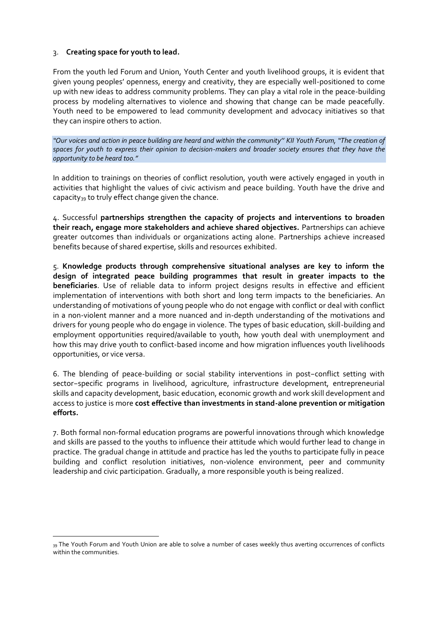## 3. **Creating space for youth to lead.**

From the youth led Forum and Union, Youth Center and youth livelihood groups, it is evident that given young peoples' openness, energy and creativity, they are especially well-positioned to come up with new ideas to address community problems. They can play a vital role in the peace-building process by modeling alternatives to violence and showing that change can be made peacefully. Youth need to be empowered to lead community development and advocacy initiatives so that they can inspire others to action.

*"Our voices and action in peace building are heard and within the community'' KII Youth Forum, "The creation of spaces for youth to express their opinion to decision-makers and broader society ensures that they have the opportunity to be heard too."*

In addition to trainings on theories of conflict resolution, youth were actively engaged in youth in activities that highlight the values of civic activism and peace building. Youth have the drive and capacity<sub>39</sub> to truly effect change given the chance.

4. Successful **partnerships strengthen the capacity of projects and interventions to broaden their reach, engage more stakeholders and achieve shared objectives.** Partnerships can achieve greater outcomes than individuals or organizations acting alone. Partnerships achieve increased benefits because of shared expertise, skills and resources exhibited.

5. **Knowledge products through comprehensive situational analyses are key to inform the design of integrated peace building programmes that result in greater impacts to the beneficiaries**. Use of reliable data to inform project designs results in effective and efficient implementation of interventions with both short and long term impacts to the beneficiaries. An understanding of motivations of young people who do not engage with conflict or deal with conflict in a non-violent manner and a more nuanced and in-depth understanding of the motivations and drivers for young people who do engage in violence. The types of basic education, skill-building and employment opportunities required/available to youth, how youth deal with unemployment and how this may drive youth to conflict-based income and how migration influences youth livelihoods opportunities, or vice versa.

6. The blending of peace-building or social stability interventions in post−conflict setting with sector−specific programs in livelihood, agriculture, infrastructure development, entrepreneurial skills and capacity development, basic education, economic growth and work skill development and access to justice is more **cost effective than investments in stand-alone prevention or mitigation efforts.**

7. Both formal non-formal education programs are powerful innovations through which knowledge and skills are passed to the youths to influence their attitude which would further lead to change in practice. The gradual change in attitude and practice has led the youths to participate fully in peace building and conflict resolution initiatives, non-violence environment, peer and community leadership and civic participation. Gradually, a more responsible youth is being realized.

<sup>39</sup> The Youth Forum and Youth Union are able to solve a number of cases weekly thus averting occurrences of conflicts within the communities.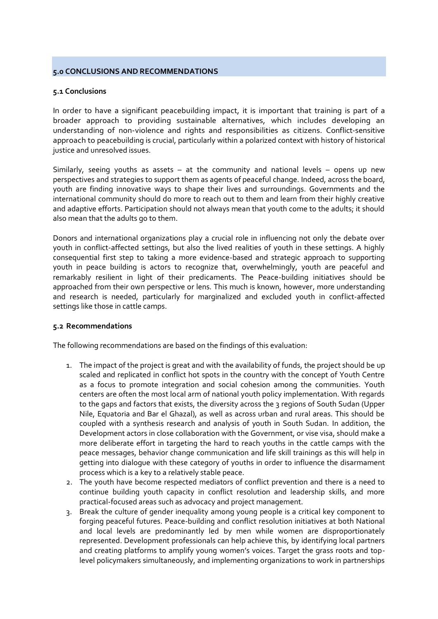### <span id="page-41-0"></span>**5.0 CONCLUSIONS AND RECOMMENDATIONS**

### <span id="page-41-1"></span>**5.1 Conclusions**

In order to have a significant peacebuilding impact, it is important that training is part of a broader approach to providing sustainable alternatives, which includes developing an understanding of non-violence and rights and responsibilities as citizens. Conflict-sensitive approach to peacebuilding is crucial, particularly within a polarized context with history of historical justice and unresolved issues.

Similarly, seeing youths as assets – at the community and national levels – opens up new perspectives and strategies to support them as agents of peaceful change. Indeed, across the board, youth are finding innovative ways to shape their lives and surroundings. Governments and the international community should do more to reach out to them and learn from their highly creative and adaptive efforts. Participation should not always mean that youth come to the adults; it should also mean that the adults go to them.

Donors and international organizations play a crucial role in influencing not only the debate over youth in conflict-affected settings, but also the lived realities of youth in these settings. A highly consequential first step to taking a more evidence-based and strategic approach to supporting youth in peace building is actors to recognize that, overwhelmingly, youth are peaceful and remarkably resilient in light of their predicaments. The Peace-building initiatives should be approached from their own perspective or lens. This much is known, however, more understanding and research is needed, particularly for marginalized and excluded youth in conflict-affected settings like those in cattle camps.

### <span id="page-41-2"></span>**5.2 Recommendations**

The following recommendations are based on the findings of this evaluation:

- 1. The impact of the project is great and with the availability of funds, the project should be up scaled and replicated in conflict hot spots in the country with the concept of Youth Centre as a focus to promote integration and social cohesion among the communities. Youth centers are often the most local arm of national youth policy implementation. With regards to the gaps and factors that exists, the diversity across the 3 regions of South Sudan (Upper Nile, Equatoria and Bar el Ghazal), as well as across urban and rural areas. This should be coupled with a synthesis research and analysis of youth in South Sudan. In addition, the Development actors in close collaboration with the Government, or vise visa, should make a more deliberate effort in targeting the hard to reach youths in the cattle camps with the peace messages, behavior change communication and life skill trainings as this will help in getting into dialogue with these category of youths in order to influence the disarmament process which is a key to a relatively stable peace.
- 2. The youth have become respected mediators of conflict prevention and there is a need to continue building youth capacity in conflict resolution and leadership skills, and more practical-focused areas such as advocacy and project management.
- 3. Break the culture of gender inequality among young people is a critical key component to forging peaceful futures. Peace-building and conflict resolution initiatives at both National and local levels are predominantly led by men while women are disproportionately represented. Development professionals can help achieve this, by identifying local partners and creating platforms to amplify young women's voices. Target the grass roots and toplevel policymakers simultaneously, and implementing organizations to work in partnerships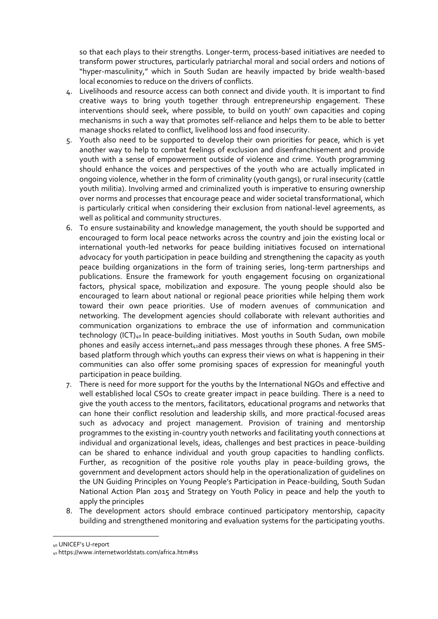so that each plays to their strengths. Longer-term, process-based initiatives are needed to transform power structures, particularly patriarchal moral and social orders and notions of "hyper-masculinity," which in South Sudan are heavily impacted by bride wealth-based local economies to reduce on the drivers of conflicts.

- 4. Livelihoods and resource access can both connect and divide youth. It is important to find creative ways to bring youth together through entrepreneurship engagement. These interventions should seek, where possible, to build on youth' own capacities and coping mechanisms in such a way that promotes self-reliance and helps them to be able to better manage shocks related to conflict, livelihood loss and food insecurity.
- 5. Youth also need to be supported to develop their own priorities for peace, which is yet another way to help to combat feelings of exclusion and disenfranchisement and provide youth with a sense of empowerment outside of violence and crime. Youth programming should enhance the voices and perspectives of the youth who are actually implicated in ongoing violence, whether in the form of criminality (youth gangs), or rural insecurity (cattle youth militia). Involving armed and criminalized youth is imperative to ensuring ownership over norms and processes that encourage peace and wider societal transformational, which is particularly critical when considering their exclusion from national-level agreements, as well as political and community structures.
- 6. To ensure sustainability and knowledge management, the youth should be supported and encouraged to form local peace networks across the country and join the existing local or international youth-led networks for peace building initiatives focused on international advocacy for youth participation in peace building and strengthening the capacity as youth peace building organizations in the form of training series, long-term partnerships and publications. Ensure the framework for youth engagement focusing on organizational factors, physical space, mobilization and exposure. The young people should also be encouraged to learn about national or regional peace priorities while helping them work toward their own peace priorities. Use of modern avenues of communication and networking. The development agencies should collaborate with relevant authorities and communication organizations to embrace the use of [information and communication](https://www.devex.com/news/ict4d-trends-every-ngo-executive-should-know-85366)  [technology](https://www.devex.com/news/ict4d-trends-every-ngo-executive-should-know-85366) (ICT)<sub>40</sub> In peace-building initiatives. Most youths in South Sudan, own mobile phones and easily access internet<sub>41</sub>and pass messages through these phones. A free SMSbased platform through which youths can express their views on what is happening in their communities can also offer some promising spaces of expression for meaningful youth participation in peace building.
- 7. There is need for more support for the youths by the International NGOs and effective and well established local CSOs to create greater impact in peace building. There is a need to give the youth access to the mentors, facilitators, educational programs and networks that can hone their conflict resolution and leadership skills, and more practical-focused areas such as advocacy and project management. Provision of training and mentorship programmes to the existing in-country youth networks and facilitating youth connections at individual and organizational levels, ideas, challenges and best practices in peace-building can be shared to enhance individual and youth group capacities to handling conflicts. Further, as recognition of the positive role youths play in peace-building grows, the government and development actors should help in the operationalization of guidelines on the UN Guiding Principles on Young People's Participation in Peace-building, South Sudan National Action Plan 2015 and Strategy on Youth Policy in peace and help the youth to apply the principles
- 8. The development actors should embrace continued participatory mentorship, capacity building and strengthened monitoring and evaluation systems for the participating youths.

<sup>40</sup> UNICEF's U-report

<sup>41</sup> https://www.internetworldstats.com/africa.htm#ss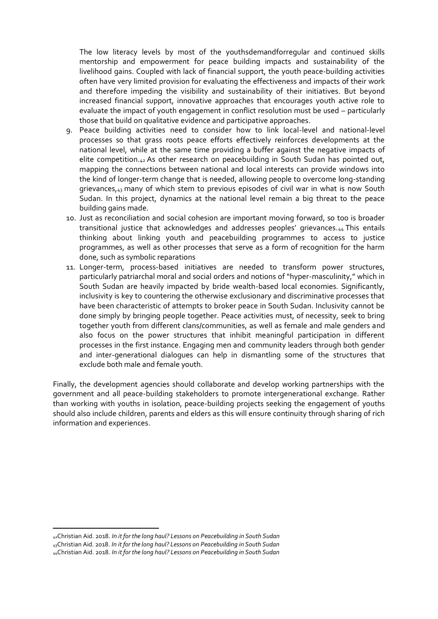The low literacy levels by most of the youthsdemandforregular and continued skills mentorship and empowerment for peace building impacts and sustainability of the livelihood gains. Coupled with lack of financial support, the youth peace-building activities often have very limited provision for evaluating the effectiveness and impacts of their work and therefore impeding the visibility and sustainability of their initiatives. But beyond increased financial support, innovative approaches that encourages youth active role to evaluate the impact of youth engagement in conflict resolution must be used – particularly those that build on qualitative evidence and participative approaches.

- 9. Peace building activities need to consider how to link local-level and national-level processes so that grass roots peace efforts effectively reinforces developments at the national level, while at the same time providing a buffer against the negative impacts of elite competition.<sub>42</sub> As other research on peacebuilding in South Sudan has pointed out, mapping the connections between national and local interests can provide windows into the kind of longer-term change that is needed, allowing people to overcome long-standing grievances,<sub>43</sub> many of which stem to previous episodes of civil war in what is now South Sudan. In this project, dynamics at the national level remain a big threat to the peace building gains made.
- 10. Just as reconciliation and social cohesion are important moving forward, so too is broader transitional justice that acknowledges and addresses peoples' grievances.<sub>44</sub> This entails thinking about linking youth and peacebuilding programmes to access to justice programmes, as well as other processes that serve as a form of recognition for the harm done, such as symbolic reparations
- 11. Longer-term, process-based initiatives are needed to transform power structures, particularly patriarchal moral and social orders and notions of "hyper-masculinity," which in South Sudan are heavily impacted by bride wealth-based local economies. Significantly, inclusivity is key to countering the otherwise exclusionary and discriminative processes that have been characteristic of attempts to broker peace in South Sudan. Inclusivity cannot be done simply by bringing people together. Peace activities must, of necessity, seek to bring together youth from different clans/communities, as well as female and male genders and also focus on the power structures that inhibit meaningful participation in different processes in the first instance. Engaging men and community leaders through both gender and inter-generational dialogues can help in dismantling some of the structures that exclude both male and female youth.

Finally, the development agencies should collaborate and develop working partnerships with the government and all peace-building stakeholders to promote intergenerational exchange. Rather than working with youths in isolation, peace-building projects seeking the engagement of youths should also include children, parents and elders as this will ensure continuity through sharing of rich information and experiences.

<sup>42</sup>Christian Aid. 2018. *In it for the long haul? Lessons on Peacebuilding in South Sudan* <sup>43</sup>Christian Aid. 2018. *In it for the long haul? Lessons on Peacebuilding in South Sudan* 44Christian Aid. 2018. *In it for the long haul? Lessons on Peacebuilding in South Sudan*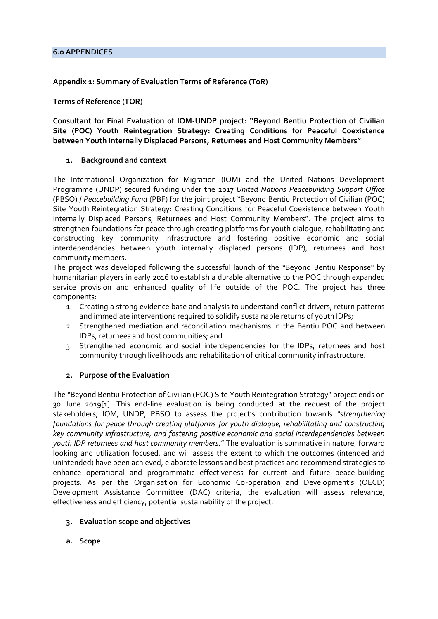## <span id="page-44-0"></span>**Appendix 1: Summary of Evaluation Terms of Reference (ToR)**

**Terms of Reference (TOR)**

**Consultant for Final Evaluation of IOM-UNDP project: "Beyond Bentiu Protection of Civilian Site (POC) Youth Reintegration Strategy: Creating Conditions for Peaceful Coexistence between Youth Internally Displaced Persons, Returnees and Host Community Members"**

## **1. Background and context**

The International Organization for Migration (IOM) and the United Nations Development Programme (UNDP) secured funding under the 2017 *United Nations Peacebuilding Support Office* (PBSO) / *Peacebuilding Fund* (PBF) for the joint project "Beyond Bentiu Protection of Civilian (POC) Site Youth Reintegration Strategy: Creating Conditions for Peaceful Coexistence between Youth Internally Displaced Persons, Returnees and Host Community Members". The project aims to strengthen foundations for peace through creating platforms for youth dialogue, rehabilitating and constructing key community infrastructure and fostering positive economic and social interdependencies between youth internally displaced persons (IDP), returnees and host community members.

The project was developed following the successful launch of the "Beyond Bentiu Response" by humanitarian players in early 2016 to establish a durable alternative to the POC through expanded service provision and enhanced quality of life outside of the POC. The project has three components:

- 1. Creating a strong evidence base and analysis to understand conflict drivers, return patterns and immediate interventions required to solidify sustainable returns of youth IDPs;
- 2. Strengthened mediation and reconciliation mechanisms in the Bentiu POC and between IDPs, returnees and host communities; and
- 3. Strengthened economic and social interdependencies for the IDPs, returnees and host community through livelihoods and rehabilitation of critical community infrastructure.

## **2. Purpose of the Evaluation**

The "Beyond Bentiu Protection of Civilian (POC) Site Youth Reintegration Strategy" project ends on 30 June 2019[1]. This end-line evaluation is being conducted at the request of the project stakeholders; IOM, UNDP, PBSO to assess the project's contribution towards *"strengthening foundations for peace through creating platforms for youth dialogue, rehabilitating and constructing key community infrastructure, and fostering positive economic and social interdependencies between youth IDP returnees and host community members.*" The evaluation is summative in nature, forward looking and utilization focused, and will assess the extent to which the outcomes (intended and unintended) have been achieved, elaborate lessons and best practices and recommend strategies to enhance operational and programmatic effectiveness for current and future peace-building projects. As per the Organisation for Economic Co-operation and Development's (OECD) Development Assistance Committee (DAC) criteria, the evaluation will assess relevance, effectiveness and efficiency, potential sustainability of the project.

- **3. Evaluation scope and objectives**
- **a. Scope**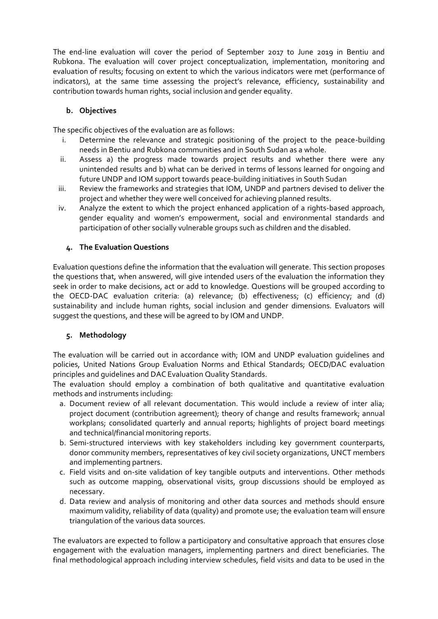The end-line evaluation will cover the period of September 2017 to June 2019 in Bentiu and Rubkona. The evaluation will cover project conceptualization, implementation, monitoring and evaluation of results; focusing on extent to which the various indicators were met (performance of indicators), at the same time assessing the project's relevance, efficiency, sustainability and contribution towards human rights, social inclusion and gender equality.

## **b. Objectives**

The specific objectives of the evaluation are as follows:

- i. Determine the relevance and strategic positioning of the project to the peace-building needs in Bentiu and Rubkona communities and in South Sudan as a whole.
- ii. Assess a) the progress made towards project results and whether there were any unintended results and b) what can be derived in terms of lessons learned for ongoing and future UNDP and IOM support towards peace-building initiatives in South Sudan
- iii. Review the frameworks and strategies that IOM, UNDP and partners devised to deliver the project and whether they were well conceived for achieving planned results.
- iv. Analyze the extent to which the project enhanced application of a rights-based approach, gender equality and women's empowerment, social and environmental standards and participation of other socially vulnerable groups such as children and the disabled.

## **4. The Evaluation Questions**

Evaluation questions define the information that the evaluation will generate. This section proposes the questions that, when answered, will give intended users of the evaluation the information they seek in order to make decisions, act or add to knowledge. Questions will be grouped according to the OECD-DAC evaluation criteria: (a) relevance; (b) effectiveness; (c) efficiency; and (d) sustainability and include human rights, social inclusion and gender dimensions. Evaluators will suggest the questions, and these will be agreed to by IOM and UNDP.

## **5. Methodology**

The evaluation will be carried out in accordance with; IOM and UNDP evaluation guidelines and policies, United Nations Group Evaluation Norms and Ethical Standards; OECD/DAC evaluation principles and guidelines and DAC Evaluation Quality Standards.

The evaluation should employ a combination of both qualitative and quantitative evaluation methods and instruments including:

- a. Document review of all relevant documentation. This would include a review of inter alia; project document (contribution agreement); theory of change and results framework; annual workplans; consolidated quarterly and annual reports; highlights of project board meetings and technical/financial monitoring reports.
- b. Semi-structured interviews with key stakeholders including key government counterparts, donor community members, representatives of key civil society organizations, UNCT members and implementing partners.
- c. Field visits and on-site validation of key tangible outputs and interventions. Other methods such as outcome mapping, observational visits, group discussions should be employed as necessary.
- d. Data review and analysis of monitoring and other data sources and methods should ensure maximum validity, reliability of data (quality) and promote use; the evaluation team will ensure triangulation of the various data sources.

The evaluators are expected to follow a participatory and consultative approach that ensures close engagement with the evaluation managers, implementing partners and direct beneficiaries. The final methodological approach including interview schedules, field visits and data to be used in the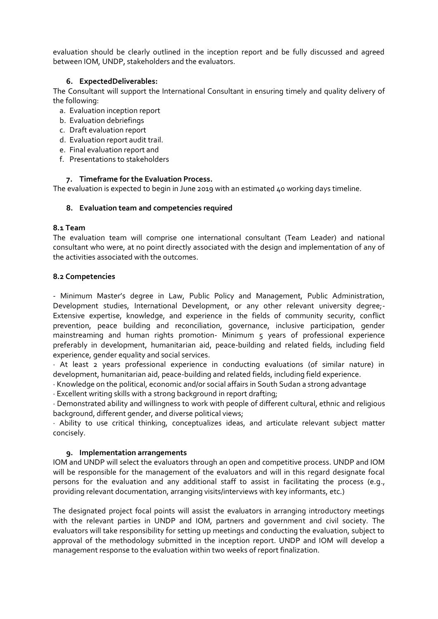evaluation should be clearly outlined in the inception report and be fully discussed and agreed between IOM, UNDP, stakeholders and the evaluators.

### **6. ExpectedDeliverables:**

The Consultant will support the International Consultant in ensuring timely and quality delivery of the following:

- a. Evaluation inception report
- b. Evaluation debriefings
- c. Draft evaluation report
- d. Evaluation report audit trail.
- e. Final evaluation report and
- f. Presentations to stakeholders

### **7. Timeframe for the Evaluation Process.**

The evaluation is expected to begin in June 2019 with an estimated 40 working days timeline.

### **8. Evaluation team and competencies required**

### **8.1 Team**

The evaluation team will comprise one international consultant (Team Leader) and national consultant who were, at no point directly associated with the design and implementation of any of the activities associated with the outcomes.

### **8.2 Competencies**

- Minimum Master's degree in Law, Public Policy and Management, Public Administration, Development studies, International Development, or any other relevant university degree;- Extensive expertise, knowledge, and experience in the fields of community security, conflict prevention, peace building and reconciliation, governance, inclusive participation, gender mainstreaming and human rights promotion- Minimum 5 years of professional experience preferably in development, humanitarian aid, peace-building and related fields, including field experience, gender equality and social services.

· At least 2 years professional experience in conducting evaluations (of similar nature) in development, humanitarian aid, peace-building and related fields, including field experience.

· Knowledge on the political, economic and/or social affairs in South Sudan a strong advantage

· Excellent writing skills with a strong background in report drafting;

· Demonstrated ability and willingness to work with people of different cultural, ethnic and religious background, different gender, and diverse political views;

· Ability to use critical thinking, conceptualizes ideas, and articulate relevant subject matter concisely.

### **9. Implementation arrangements**

IOM and UNDP will select the evaluators through an open and competitive process. UNDP and IOM will be responsible for the management of the evaluators and will in this regard designate focal persons for the evaluation and any additional staff to assist in facilitating the process (e.g., providing relevant documentation, arranging visits/interviews with key informants, etc.)

The designated project focal points will assist the evaluators in arranging introductory meetings with the relevant parties in UNDP and IOM, partners and government and civil society. The evaluators will take responsibility for setting up meetings and conducting the evaluation, subject to approval of the methodology submitted in the inception report. UNDP and IOM will develop a management response to the evaluation within two weeks of report finalization.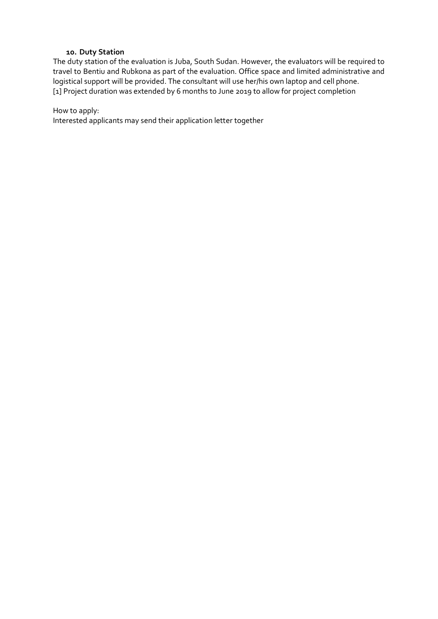### **10. Duty Station**

The duty station of the evaluation is Juba, South Sudan. However, the evaluators will be required to travel to Bentiu and Rubkona as part of the evaluation. Office space and limited administrative and logistical support will be provided. The consultant will use her/his own laptop and cell phone. [1] Project duration was extended by 6 months to June 2019 to allow for project completion

How to apply:

Interested applicants may send their application letter together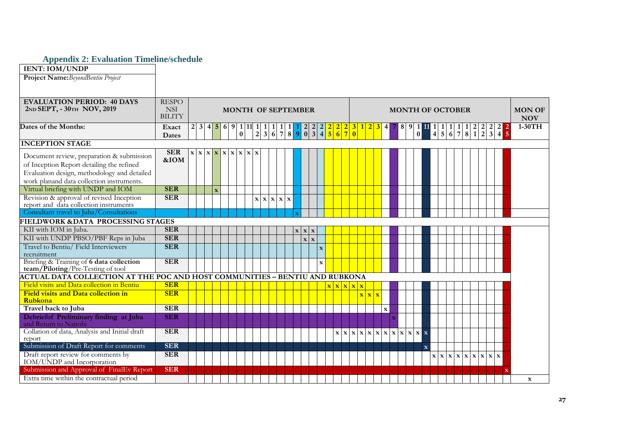## **Appendix 2: Evaluation Timeline/schedule**

| <b>IENT: IOM/UNDP</b>                                                                                                                    |                             |  |              |                                                                                                                  |                           |  |                                                                |  |                                              |              |                                               |                              |                         |  |                                        |              |                                                                                                          |  |  |  |  |               |  |
|------------------------------------------------------------------------------------------------------------------------------------------|-----------------------------|--|--------------|------------------------------------------------------------------------------------------------------------------|---------------------------|--|----------------------------------------------------------------|--|----------------------------------------------|--------------|-----------------------------------------------|------------------------------|-------------------------|--|----------------------------------------|--------------|----------------------------------------------------------------------------------------------------------|--|--|--|--|---------------|--|
| Project Name: BeyondBentiu Project                                                                                                       |                             |  |              |                                                                                                                  |                           |  |                                                                |  |                                              |              |                                               |                              |                         |  |                                        |              |                                                                                                          |  |  |  |  |               |  |
|                                                                                                                                          |                             |  |              |                                                                                                                  |                           |  |                                                                |  |                                              |              |                                               |                              |                         |  |                                        |              |                                                                                                          |  |  |  |  |               |  |
|                                                                                                                                          |                             |  |              |                                                                                                                  |                           |  |                                                                |  |                                              |              |                                               |                              |                         |  |                                        |              |                                                                                                          |  |  |  |  |               |  |
| <b>EVALUATION PERIOD: 40 DAYS</b>                                                                                                        | <b>RESPO</b>                |  |              |                                                                                                                  |                           |  |                                                                |  |                                              |              |                                               |                              |                         |  |                                        |              |                                                                                                          |  |  |  |  |               |  |
| 2ND SEPT, - 30TH NOV, 2019                                                                                                               | <b>NSI</b><br><b>BILITY</b> |  |              |                                                                                                                  | <b>MONTH OF SEPTEMBER</b> |  |                                                                |  |                                              |              |                                               |                              |                         |  |                                        |              | <b>MONTH OF OCTOBER</b>                                                                                  |  |  |  |  | <b>MON OF</b> |  |
|                                                                                                                                          |                             |  |              |                                                                                                                  |                           |  |                                                                |  |                                              |              |                                               |                              |                         |  |                                        |              |                                                                                                          |  |  |  |  | <b>NOV</b>    |  |
| Dates of the Months:                                                                                                                     | Exact                       |  |              | $\boxed{2 3 4 5 6 9 1 11 1}$                                                                                     |                           |  | $\begin{bmatrix} 1 & 1 & 1 & 1 \\ 3 & 6 & 7 & 8 \end{bmatrix}$ |  |                                              |              |                                               |                              |                         |  | $\begin{bmatrix} 1 \\ 0 \end{bmatrix}$ |              |                                                                                                          |  |  |  |  | $1-30TH$      |  |
|                                                                                                                                          | Dates                       |  |              |                                                                                                                  |                           |  |                                                                |  |                                              |              |                                               |                              |                         |  |                                        |              |                                                                                                          |  |  |  |  |               |  |
| <b>INCEPTION STAGE</b>                                                                                                                   |                             |  |              |                                                                                                                  |                           |  |                                                                |  |                                              |              |                                               |                              |                         |  |                                        |              |                                                                                                          |  |  |  |  |               |  |
| Document review, preparation & submission                                                                                                | <b>SER</b>                  |  |              | $\mathbf{x} \mathbf{x} \mathbf{x}$ $\mathbf{x}$ $\mathbf{x}$ $\mathbf{x}$ $\mathbf{x}$ $\mathbf{x}$ $\mathbf{x}$ |                           |  |                                                                |  |                                              |              |                                               |                              |                         |  |                                        |              |                                                                                                          |  |  |  |  |               |  |
| of Inception Report detailing the refined                                                                                                | &IOM                        |  |              |                                                                                                                  |                           |  |                                                                |  |                                              |              |                                               |                              |                         |  |                                        |              |                                                                                                          |  |  |  |  |               |  |
| Evaluation design, methodology and detailed                                                                                              |                             |  |              |                                                                                                                  |                           |  |                                                                |  |                                              |              |                                               |                              |                         |  |                                        |              |                                                                                                          |  |  |  |  |               |  |
| work planand data collection instruments.                                                                                                |                             |  |              |                                                                                                                  |                           |  |                                                                |  |                                              |              |                                               |                              |                         |  |                                        |              |                                                                                                          |  |  |  |  |               |  |
| Virtual briefing with UNDP and IOM                                                                                                       | <b>SER</b>                  |  | $\mathbf{x}$ |                                                                                                                  |                           |  |                                                                |  |                                              |              |                                               |                              |                         |  |                                        |              |                                                                                                          |  |  |  |  |               |  |
| Revision & approval of revised Inception                                                                                                 | <b>SER</b>                  |  |              |                                                                                                                  |                           |  | $\mathbf{x} \mathbf{x} \mathbf{x} \mathbf{x}$                  |  |                                              |              |                                               |                              |                         |  |                                        |              |                                                                                                          |  |  |  |  |               |  |
| report and data collection instruments                                                                                                   |                             |  |              |                                                                                                                  |                           |  |                                                                |  |                                              |              |                                               |                              |                         |  |                                        |              |                                                                                                          |  |  |  |  |               |  |
| Consultant travel to Juba/Consultations                                                                                                  |                             |  |              |                                                                                                                  |                           |  |                                                                |  |                                              |              |                                               |                              |                         |  |                                        |              |                                                                                                          |  |  |  |  |               |  |
| FIELDWORK & DATA PROCESSING STAGES                                                                                                       |                             |  |              |                                                                                                                  |                           |  |                                                                |  |                                              |              |                                               |                              |                         |  |                                        |              |                                                                                                          |  |  |  |  |               |  |
| KII with IOM in Juba.                                                                                                                    | <b>SER</b>                  |  |              |                                                                                                                  |                           |  |                                                                |  | $\mathbf{x} \mid \mathbf{x} \mid \mathbf{x}$ |              |                                               |                              |                         |  |                                        |              |                                                                                                          |  |  |  |  |               |  |
| KII with UNDP PBSO/PBF Reps in Juba                                                                                                      | <b>SER</b>                  |  |              |                                                                                                                  |                           |  |                                                                |  | $\mathbf{x} \mid \mathbf{x}$                 |              |                                               |                              |                         |  |                                        |              |                                                                                                          |  |  |  |  |               |  |
| Travel to Bentiu/ Field Interviewers                                                                                                     | <b>SER</b>                  |  |              |                                                                                                                  |                           |  |                                                                |  |                                              | $\mathbf{x}$ |                                               |                              |                         |  |                                        |              |                                                                                                          |  |  |  |  |               |  |
| recruitment                                                                                                                              |                             |  |              |                                                                                                                  |                           |  |                                                                |  |                                              |              |                                               |                              |                         |  |                                        |              |                                                                                                          |  |  |  |  |               |  |
| Briefing & Training of 6 data collection                                                                                                 | <b>SER</b>                  |  |              |                                                                                                                  |                           |  |                                                                |  |                                              | $\mathbf x$  |                                               |                              |                         |  |                                        |              |                                                                                                          |  |  |  |  |               |  |
| team/ $\tilde{P}$ iloting/ $\tilde{P}$ re-Testing of tool<br>ACTUAL DATA COLLECTION AT THE POC AND HOST COMMUNITIES – BENTIU AND RUBKONA |                             |  |              |                                                                                                                  |                           |  |                                                                |  |                                              |              |                                               |                              |                         |  |                                        |              |                                                                                                          |  |  |  |  |               |  |
|                                                                                                                                          |                             |  |              |                                                                                                                  |                           |  |                                                                |  |                                              |              |                                               |                              |                         |  |                                        |              |                                                                                                          |  |  |  |  |               |  |
| Field visits and Data collection in Bentiu                                                                                               | <b>SER</b>                  |  |              |                                                                                                                  |                           |  |                                                                |  |                                              |              | $\mathbf{X} \mathbf{X} \mathbf{X} \mathbf{X}$ |                              |                         |  |                                        |              |                                                                                                          |  |  |  |  |               |  |
| <b>Field visits and Data collection in</b><br><b>Rubkona</b>                                                                             | <b>SER</b>                  |  |              |                                                                                                                  |                           |  |                                                                |  |                                              |              |                                               | $\mathbf{x} \mid \mathbf{x}$ | $\overline{\mathbf{x}}$ |  |                                        |              |                                                                                                          |  |  |  |  |               |  |
| Travel back to Juba                                                                                                                      | <b>SER</b>                  |  |              |                                                                                                                  |                           |  |                                                                |  |                                              |              |                                               |                              | $\mathbf x$             |  |                                        |              |                                                                                                          |  |  |  |  |               |  |
| Debriefof Preliminary finding at Juba                                                                                                    | <b>SER</b>                  |  |              |                                                                                                                  |                           |  |                                                                |  |                                              |              |                                               |                              |                         |  |                                        |              |                                                                                                          |  |  |  |  |               |  |
| and Return to Nairobi                                                                                                                    |                             |  |              |                                                                                                                  |                           |  |                                                                |  |                                              |              |                                               |                              |                         |  |                                        |              |                                                                                                          |  |  |  |  |               |  |
| Collation of data, Analysis and Initial draft                                                                                            | <b>SER</b>                  |  |              |                                                                                                                  |                           |  |                                                                |  |                                              |              |                                               |                              |                         |  |                                        |              |                                                                                                          |  |  |  |  |               |  |
| report                                                                                                                                   |                             |  |              |                                                                                                                  |                           |  |                                                                |  |                                              |              |                                               |                              |                         |  |                                        |              |                                                                                                          |  |  |  |  |               |  |
| Submission of Draft Report for comments                                                                                                  | <b>SER</b>                  |  |              |                                                                                                                  |                           |  |                                                                |  |                                              |              |                                               |                              |                         |  |                                        | $\mathbf{x}$ |                                                                                                          |  |  |  |  |               |  |
| Draft report review for comments by                                                                                                      | <b>SER</b>                  |  |              |                                                                                                                  |                           |  |                                                                |  |                                              |              |                                               |                              |                         |  |                                        |              | $\mathbf{x} \mathbf{x} \mathbf{x} \mathbf{x} \mathbf{x}$ $\mathbf{x} \mathbf{x}$ $\mathbf{x} \mathbf{x}$ |  |  |  |  |               |  |
| IOM/UNDP and Incorporation                                                                                                               |                             |  |              |                                                                                                                  |                           |  |                                                                |  |                                              |              |                                               |                              |                         |  |                                        |              |                                                                                                          |  |  |  |  |               |  |
| Submission and Approval of FinalEv Report                                                                                                | <b>SER</b>                  |  |              |                                                                                                                  |                           |  |                                                                |  |                                              |              |                                               |                              |                         |  |                                        |              |                                                                                                          |  |  |  |  |               |  |
| Extra time within the contractual period                                                                                                 |                             |  |              |                                                                                                                  |                           |  |                                                                |  |                                              |              |                                               |                              |                         |  |                                        |              |                                                                                                          |  |  |  |  | $\mathbf x$   |  |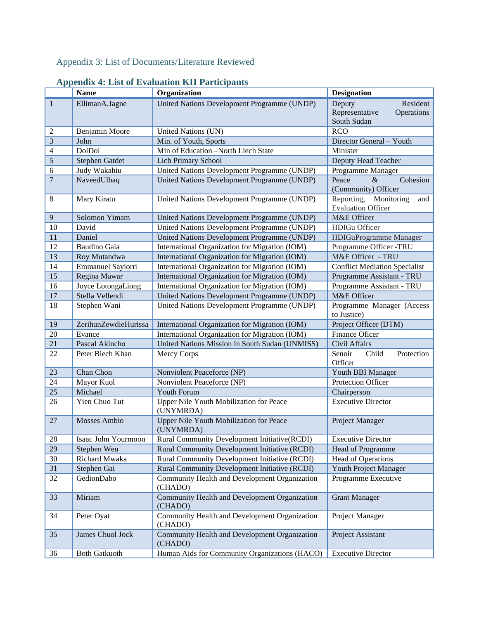# Appendix 3: List of Documents/Literature Reviewed

<span id="page-49-1"></span><span id="page-49-0"></span>

|                  | <b>Name</b>          | Organization                                                | <b>Designation</b>                                                |
|------------------|----------------------|-------------------------------------------------------------|-------------------------------------------------------------------|
| $\mathbf{1}$     | EllimanA.Jagne       | United Nations Development Programme (UNDP)                 | Deputy<br>Resident<br>Representative<br>Operations<br>South Sudan |
| $\overline{c}$   | Benjamin Moore       | United Nations (UN)                                         | <b>RCO</b>                                                        |
| $\mathfrak{Z}$   | John                 | Min. of Youth, Sports                                       | Director General - Youth                                          |
| $\overline{4}$   | DolDol               | Min of Education -North Liech State                         | Minister                                                          |
| $\sqrt{5}$       | Stephen Gatdet       | Lich Primary School                                         | Deputy Head Teacher                                               |
| 6                | Judy Wakahiu         | United Nations Development Programme (UNDP)                 | Programme Manager                                                 |
| $\boldsymbol{7}$ | NaveedUlhaq          | United Nations Development Programme (UNDP)                 | $\&$<br>Cohesion<br>Peace<br>(Community) Officer                  |
| $\,8$            | Mary Kiratu          | United Nations Development Programme (UNDP)                 | Reporting, Monitoring<br>and<br><b>Evaluation Officer</b>         |
| 9                | Solomon Yimam        | United Nations Development Programme (UNDP)                 | M&E Officer                                                       |
| 10               | David                | United Nations Development Programme (UNDP)                 | <b>HDIGu Officer</b>                                              |
| 11               | Daniel               | United Nations Development Programme (UNDP)                 | HDIGuProgramme Manager                                            |
| 12               | <b>Baudino Gaia</b>  | International Organization for Migration (IOM)              | Programme Officer -TRU                                            |
| 13               | Roy Mutandwa         | International Organization for Migration (IOM)              | M&E Officer - TRU                                                 |
| 14               | Emmanuel Sayiorri    | International Organization for Migration (IOM)              | <b>Conflict Mediation Specialist</b>                              |
| 15               | Regina Mawar         | International Organization for Migration (IOM)              | Programme Assistant - TRU                                         |
| 16               | Joyce LotongaLiong   | International Organization for Migration (IOM)              | Programme Assistant - TRU                                         |
| 17               | Stella Vellendi      | United Nations Development Programme (UNDP)                 | M&E Officer                                                       |
| 18               | Stephen Wani         | United Nations Development Programme (UNDP)                 | Programme Manager (Access<br>to Justice)                          |
| 19               | ZerihunZewdieHurissa | International Organization for Migration (IOM)              | Project Officer (DTM)                                             |
| 20               | Evance               | International Organization for Migration (IOM)              | Finance Oficer                                                    |
| 21               | Pascal Akincho       | United Nations Mission in South Sudan (UNMISS)              | Civil Affairs                                                     |
| 22               | Peter Biech Khan     | Mercy Corps                                                 | Senoir<br>Child<br>Protection<br>Officer                          |
| 23               | Chan Chon            | Nonviolent Peaceforce (NP)                                  | Youth BBI Manager                                                 |
| 24               | Mayor Kuol           | Nonviolent Peaceforce (NP)                                  | Protection Officer                                                |
| 25               | Michael              | <b>Youth Forum</b>                                          | Chairperson                                                       |
| 26               | Yien Chuo Tut        | Upper Nile Youth Mobilization for Peace<br>(UNYMRDA)        | <b>Executive Director</b>                                         |
| 27               | Mosses Ambio         | <b>Upper Nile Youth Mobilization for Peace</b><br>(UNYMRDA) | Project Manager                                                   |
| 28               | Isaac John Yourmoon  | <b>Rural Community Development Initiative(RCDI)</b>         | <b>Executive Director</b>                                         |
| 29               | Stephen Weu          | Rural Community Development Initiative (RCDI)               | Head of Programme                                                 |
| 30               | Richard Mwaka        | Rural Community Development Initiative (RCDI)               | Head of Operations                                                |
| 31               | Stephen Gai          | Rural Community Development Initiative (RCDI)               | Youth Project Manager                                             |
| 32               | GedionDabo           | Community Health and Development Organization<br>(CHADO)    | Programme Executive                                               |
| 33               | Miriam               | Community Health and Development Organization<br>(CHADO)    | <b>Grant Manager</b>                                              |
| 34               | Peter Oyat           | Community Health and Development Organization<br>(CHADO)    | Project Manager                                                   |
| 35               | James Chuol Jock     | Community Health and Development Organization<br>(CHADO)    | Project Assistant                                                 |
| 36               | <b>Both Gatkuoth</b> | Human Aids for Community Organizations (HACO)               | <b>Executive Director</b>                                         |

# **Appendix 4: List of Evaluation KII Participants**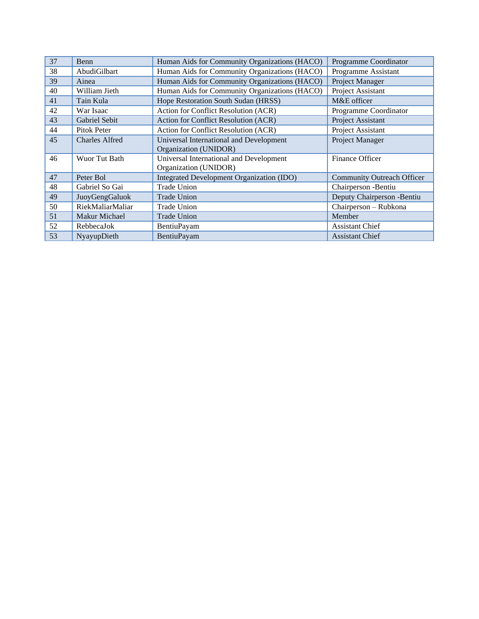| 37 | Benn                  | Human Aids for Community Organizations (HACO) | Programme Coordinator             |
|----|-----------------------|-----------------------------------------------|-----------------------------------|
| 38 | AbudiGilbart          | Human Aids for Community Organizations (HACO) | Programme Assistant               |
| 39 | Ainea                 | Human Aids for Community Organizations (HACO) | Project Manager                   |
| 40 | William Jieth         | Human Aids for Community Organizations (HACO) | Project Assistant                 |
| 41 | Tain Kula             | Hope Restoration South Sudan (HRSS)           | M&E officer                       |
| 42 | War Isaac             | Action for Conflict Resolution (ACR)          | Programme Coordinator             |
| 43 | Gabriel Sebit         | Action for Conflict Resolution (ACR)          | Project Assistant                 |
| 44 | Pitok Peter           | Action for Conflict Resolution (ACR)          | Project Assistant                 |
| 45 | <b>Charles Alfred</b> | Universal International and Development       | Project Manager                   |
|    |                       | Organization (UNIDOR)                         |                                   |
| 46 | Wuor Tut Bath         | Universal International and Development       | Finance Officer                   |
|    |                       | Organization (UNIDOR)                         |                                   |
| 47 | Peter Bol             | Integrated Development Organization (IDO)     | <b>Community Outreach Officer</b> |
| 48 | Gabriel So Gai        | <b>Trade Union</b>                            | Chairperson -Bentiu               |
| 49 | JuoyGengGaluok        | <b>Trade Union</b>                            | Deputy Chairperson -Bentiu        |
| 50 | RiekMaliarMaliar      | Trade Union                                   | Chairperson - Rubkona             |
| 51 | <b>Makur Michael</b>  | <b>Trade Union</b>                            | Member                            |
| 52 | RebbecaJok            | <b>BentiuPayam</b>                            | <b>Assistant Chief</b>            |
| 53 | NyayupDieth           | BentiuPayam                                   | <b>Assistant Chief</b>            |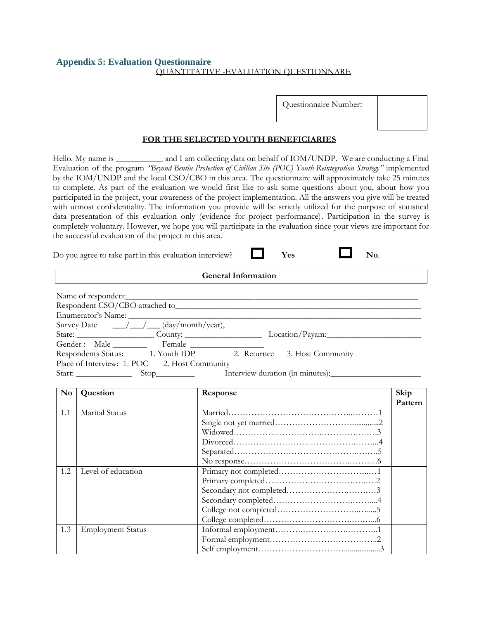### <span id="page-51-0"></span>**Appendix 5: Evaluation Questionnaire** QUANTITATIVE -EVALUATION QUESTIONNARE

Questionnaire Number:

### **FOR THE SELECTED YOUTH BENEFICIARIES**

Hello. My name is \_\_\_\_\_\_\_\_\_\_\_\_ and I am collecting data on behalf of IOM/UNDP. We are conducting a Final Evaluation of the program *"Beyond Bentiu Protection of Civilian Site (POC) Youth Reintegration Strategy"* implemented by the IOM/UNDP and the local CSO/CBO in this area. The questionnaire will approximately take 25 minutes to complete. As part of the evaluation we would first like to ask some questions about you, about how you participated in the project, your awareness of the project implementation. All the answers you give will be treated with utmost confidentiality. The information you provide will be strictly utilized for the purpose of statistical data presentation of this evaluation only (evidence for project performance). Participation in the survey is completely voluntary. However, we hope you will participate in the evaluation since your views are important for the successful evaluation of the project in this area.

Do you agree to take part in this evaluation interview? **Ves No.** No.

| <b>General Information</b> |  |
|----------------------------|--|
|----------------------------|--|

| Enumerator's Name:                                                      |                                                               |
|-------------------------------------------------------------------------|---------------------------------------------------------------|
| Survey Date $\frac{\sqrt{2}}{2}$ $\frac{\sqrt{2}}{2}$ (day/month/year), |                                                               |
|                                                                         | State: County: County: Location/Payam: Location District 2014 |
| Gender: Male Female                                                     |                                                               |
| Respondents Status: 1. Youth IDP 2. Returnee 3. Host Community          |                                                               |
| Place of Interview: 1. POC 2. Host Community                            |                                                               |
| $Start:$ Start: Stop                                                    | Interview duration (in minutes):                              |

| $\mathbf{N}\mathbf{o}$ | Question                 | Response | Skip    |
|------------------------|--------------------------|----------|---------|
|                        |                          |          | Pattern |
| 1.1                    | Marital Status           |          |         |
|                        |                          |          |         |
|                        |                          |          |         |
|                        |                          |          |         |
|                        |                          |          |         |
|                        |                          |          |         |
| 1.2                    | Level of education       |          |         |
|                        |                          |          |         |
|                        |                          |          |         |
|                        |                          |          |         |
|                        |                          |          |         |
|                        |                          |          |         |
| 1.3                    | <b>Employment Status</b> |          |         |
|                        |                          |          |         |
|                        |                          |          |         |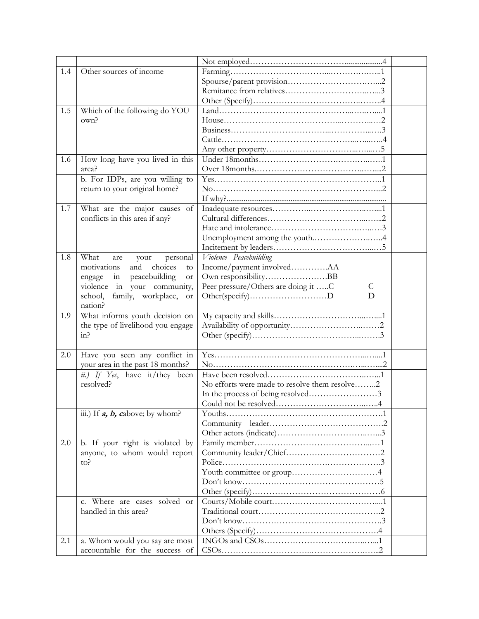| 1.4 | Other sources of income                    |                                               |  |
|-----|--------------------------------------------|-----------------------------------------------|--|
|     |                                            |                                               |  |
|     |                                            |                                               |  |
|     |                                            |                                               |  |
| 1.5 | Which of the following do YOU              |                                               |  |
|     | own?                                       |                                               |  |
|     |                                            |                                               |  |
|     |                                            |                                               |  |
|     |                                            |                                               |  |
| 1.6 | How long have you lived in this            |                                               |  |
|     | area?                                      |                                               |  |
|     | b. For IDPs, are you willing to            |                                               |  |
|     | return to your original home?              |                                               |  |
|     |                                            |                                               |  |
| 1.7 | What are the major causes of               |                                               |  |
|     | conflicts in this area if any?             |                                               |  |
|     |                                            |                                               |  |
|     |                                            | Unemployment among the youth4                 |  |
|     |                                            |                                               |  |
| 1.8 | What<br>personal<br>are<br>your            | Violence Peacebuilding                        |  |
|     | and<br>choices<br>motivations<br>to        | Income/payment involvedAA                     |  |
|     | peacebuilding<br>engage<br>in<br><b>or</b> | Own responsibilityBB                          |  |
|     | violence in your community,                | Peer pressure/Others are doing it C<br>C      |  |
|     | family, workplace,<br>school,<br><b>or</b> | Other(specify)D<br>D                          |  |
|     | nation?                                    |                                               |  |
| 1.9 | What informs youth decision on             |                                               |  |
|     | the type of livelihood you engage          |                                               |  |
|     | in?                                        |                                               |  |
|     |                                            |                                               |  |
| 2.0 | Have you seen any conflict in              |                                               |  |
|     | your area in the past 18 months?           |                                               |  |
|     | ii.) If Yes, have it/they been             |                                               |  |
|     | resolved?                                  | No efforts were made to resolve them resolve2 |  |
|     |                                            | In the process of being resolved3             |  |
|     |                                            |                                               |  |
|     | iii.) If $a, b,$ cabove; by whom?          |                                               |  |
|     |                                            |                                               |  |
|     |                                            |                                               |  |
| 2.0 | b. If your right is violated by            |                                               |  |
|     | anyone, to whom would report               |                                               |  |
|     | to?                                        |                                               |  |
|     |                                            |                                               |  |
|     |                                            |                                               |  |
|     |                                            |                                               |  |
|     | c. Where are cases solved or               |                                               |  |
|     | handled in this area?                      |                                               |  |
|     |                                            |                                               |  |
|     |                                            |                                               |  |
| 2.1 | a. Whom would you say are most             |                                               |  |
|     | accountable for the success of             |                                               |  |
|     |                                            |                                               |  |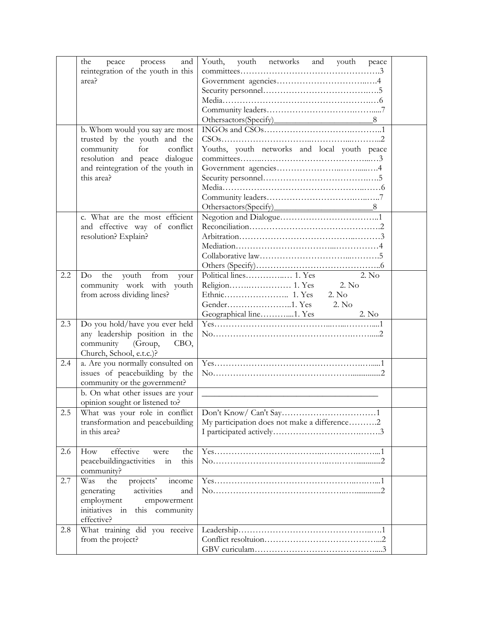|     | the<br>peace<br>process<br>and<br>reintegration of the youth in this<br>area?                                                                                                      | Youth, youth networks<br>youth<br>and<br>peace                       |
|-----|------------------------------------------------------------------------------------------------------------------------------------------------------------------------------------|----------------------------------------------------------------------|
|     | b. Whom would you say are most<br>trusted by the youth and the<br>for<br>community<br>conflict<br>resolution and peace dialogue<br>and reintegration of the youth in<br>this area? | Youths, youth networks and local youth peace                         |
|     | c. What are the most efficient<br>and effective way of conflict<br>resolution? Explain?                                                                                            |                                                                      |
| 2.2 | Do<br>the<br>youth<br>from<br>your<br>community work with<br>youth<br>from across dividing lines?                                                                                  | 2. No<br>2. No<br>2. No<br>2. No<br>Geographical line1. Yes<br>2. No |
| 2.3 | Do you hold/have you ever held<br>any leadership position in the<br>community (Group,<br>CBO,<br>Church, School, e.t.c.)?                                                          |                                                                      |
| 2.4 | a. Are you normally consulted on<br>issues of peacebuilding by the<br>community or the government?                                                                                 |                                                                      |
|     | b. On what other issues are your<br>opinion sought or listened to?                                                                                                                 |                                                                      |
| 2.5 | What was your role in conflict<br>transformation and peacebuilding<br>in this area?                                                                                                | My participation does not make a difference2                         |
| 2.6 | effective<br>How<br>the<br>were<br>peacebuildingactivities<br>this<br>in<br>community?                                                                                             |                                                                      |
| 2.7 | projects'<br>income<br>Was<br>the<br>activities<br>generating<br>and<br>employment<br>empowerment<br>initiatives<br>in<br>this community<br>effective?                             |                                                                      |
| 2.8 | What training did you receive<br>from the project?                                                                                                                                 |                                                                      |